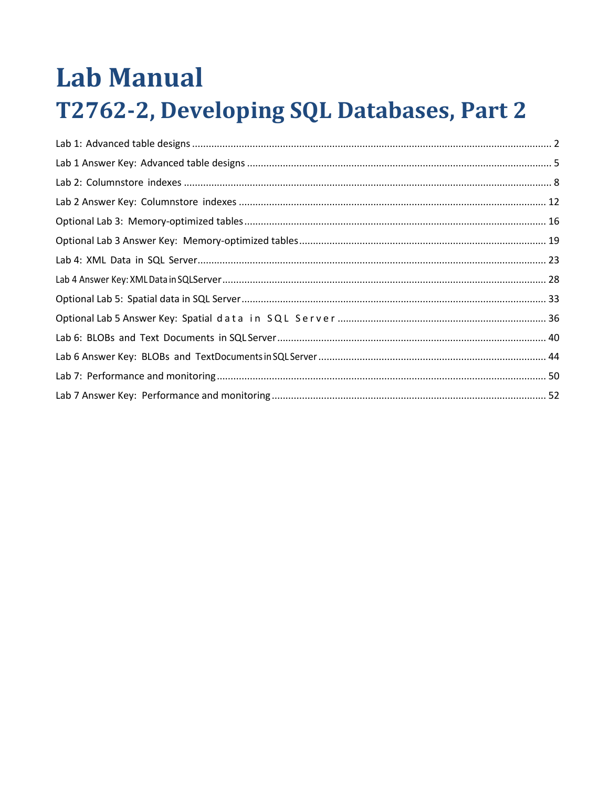# **Lab Manual** T2762-2, Developing SQL Databases, Part 2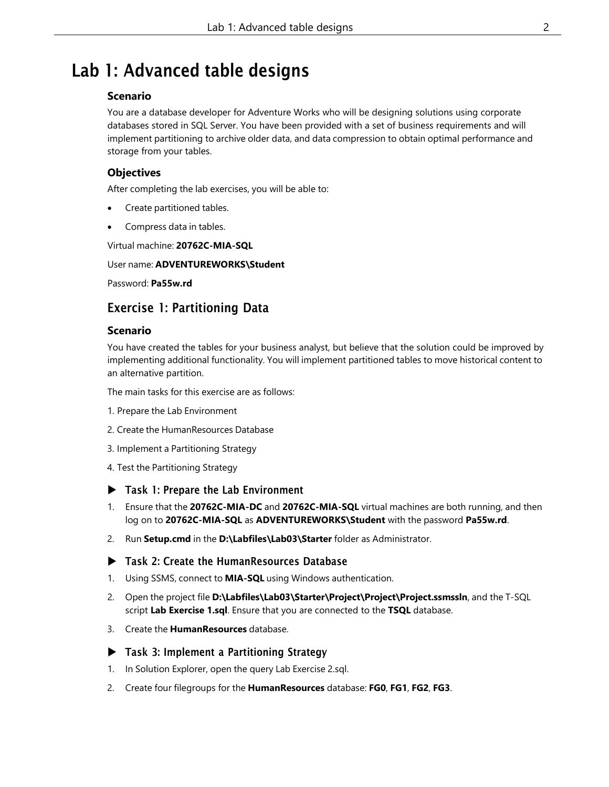## <span id="page-1-0"></span>Lab 1: Advanced table designs

## **Scenario**

You are a database developer for Adventure Works who will be designing solutions using corporate databases stored in SQL Server. You have been provided with a set of business requirements and will implement partitioning to archive older data, and data compression to obtain optimal performance and storage from your tables.

## **Objectives**

After completing the lab exercises, you will be able to:

- Create partitioned tables.
- Compress data in tables.

Virtual machine: **20762C-MIA-SQL**

#### User name: **ADVENTUREWORKS\Student**

Password: **Pa55w.rd**

## Exercise 1: Partitioning Data

#### **Scenario**

You have created the tables for your business analyst, but believe that the solution could be improved by implementing additional functionality. You will implement partitioned tables to move historical content to an alternative partition.

The main tasks for this exercise are as follows:

- 1. Prepare the Lab Environment
- 2. Create the HumanResources Database
- 3. Implement a Partitioning Strategy
- 4. Test the Partitioning Strategy
- ▶ Task 1: Prepare the Lab Environment
- 1. Ensure that the **20762C-MIA-DC** and **20762C-MIA-SQL** virtual machines are both running, and then log on to **20762C-MIA-SQL** as **ADVENTUREWORKS\Student** with the password **Pa55w.rd**.
- 2. Run **Setup.cmd** in the **D:\Labfiles\Lab03\Starter** folder as Administrator.

### ▶ Task 2: Create the HumanResources Database

- 1. Using SSMS, connect to **MIA-SQL** using Windows authentication.
- 2. Open the project file **D:\Labfiles\Lab03\Starter\Project\Project\Project.ssmssln**, and the T-SQL script **Lab Exercise 1.sql**. Ensure that you are connected to the **TSQL** database.
- 3. Create the **HumanResources** database.

### ▶ Task 3: Implement a Partitioning Strategy

- 1. In Solution Explorer, open the query Lab Exercise 2.sql.
- 2. Create four filegroups for the **HumanResources** database: **FG0**, **FG1**, **FG2**, **FG3**.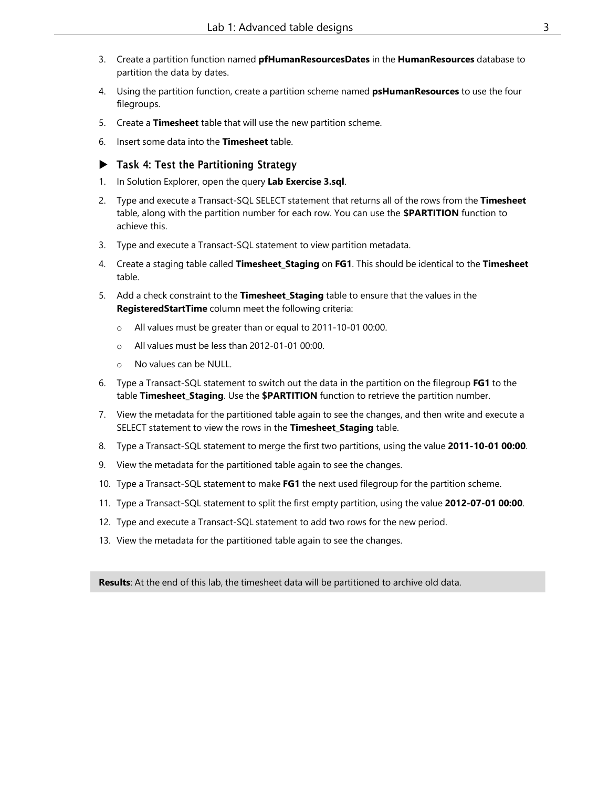- 3. Create a partition function named **pfHumanResourcesDates** in the **HumanResources** database to partition the data by dates.
- 4. Using the partition function, create a partition scheme named **psHumanResources** to use the four filegroups.
- 5. Create a **Timesheet** table that will use the new partition scheme.
- 6. Insert some data into the **Timesheet** table.

### ▶ Task 4: Test the Partitioning Strategy

- 1. In Solution Explorer, open the query **Lab Exercise 3.sql**.
- 2. Type and execute a Transact-SQL SELECT statement that returns all of the rows from the **Timesheet** table, along with the partition number for each row. You can use the **\$PARTITION** function to achieve this.
- 3. Type and execute a Transact-SQL statement to view partition metadata.
- 4. Create a staging table called **Timesheet\_Staging** on **FG1**. This should be identical to the **Timesheet** table.
- 5. Add a check constraint to the **Timesheet\_Staging** table to ensure that the values in the **RegisteredStartTime** column meet the following criteria:
	- o All values must be greater than or equal to 2011-10-01 00:00.
	- o All values must be less than 2012-01-01 00:00.
	- o No values can be NULL.
- 6. Type a Transact-SQL statement to switch out the data in the partition on the filegroup **FG1** to the table **Timesheet\_Staging**. Use the **\$PARTITION** function to retrieve the partition number.
- 7. View the metadata for the partitioned table again to see the changes, and then write and execute a SELECT statement to view the rows in the **Timesheet\_Staging** table.
- 8. Type a Transact-SQL statement to merge the first two partitions, using the value **2011-10-01 00:00**.
- 9. View the metadata for the partitioned table again to see the changes.
- 10. Type a Transact-SQL statement to make **FG1** the next used filegroup for the partition scheme.
- 11. Type a Transact-SQL statement to split the first empty partition, using the value **2012-07-01 00:00**.
- 12. Type and execute a Transact-SQL statement to add two rows for the new period.
- 13. View the metadata for the partitioned table again to see the changes.

**Results**: At the end of this lab, the timesheet data will be partitioned to archive old data.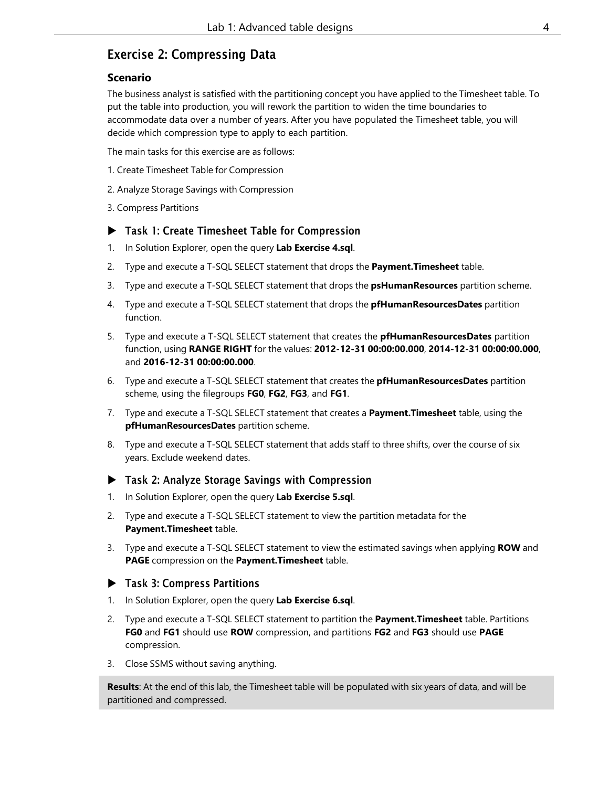## Exercise 2: Compressing Data

## **Scenario**

The business analyst is satisfied with the partitioning concept you have applied to the Timesheet table. To put the table into production, you will rework the partition to widen the time boundaries to accommodate data over a number of years. After you have populated the Timesheet table, you will decide which compression type to apply to each partition.

The main tasks for this exercise are as follows:

- 1. Create Timesheet Table for Compression
- 2. Analyze Storage Savings with Compression
- 3. Compress Partitions

### ▶ Task 1: Create Timesheet Table for Compression

- 1. In Solution Explorer, open the query **Lab Exercise 4.sql**.
- 2. Type and execute a T-SQL SELECT statement that drops the **Payment.Timesheet** table.
- 3. Type and execute a T-SQL SELECT statement that drops the **psHumanResources** partition scheme.
- 4. Type and execute a T-SQL SELECT statement that drops the **pfHumanResourcesDates** partition function.
- 5. Type and execute a T-SQL SELECT statement that creates the **pfHumanResourcesDates** partition function, using **RANGE RIGHT** for the values: **2012-12-31 00:00:00.000**, **2014-12-31 00:00:00.000**, and **2016-12-31 00:00:00.000**.
- 6. Type and execute a T-SQL SELECT statement that creates the **pfHumanResourcesDates** partition scheme, using the filegroups **FG0**, **FG2**, **FG3**, and **FG1**.
- 7. Type and execute a T-SQL SELECT statement that creates a **Payment.Timesheet** table, using the **pfHumanResourcesDates** partition scheme.
- 8. Type and execute a T-SQL SELECT statement that adds staff to three shifts, over the course of six years. Exclude weekend dates.

### ▶ Task 2: Analyze Storage Savings with Compression

- 1. In Solution Explorer, open the query **Lab Exercise 5.sql**.
- 2. Type and execute a T-SQL SELECT statement to view the partition metadata for the **Payment.Timesheet** table.
- 3. Type and execute a T-SQL SELECT statement to view the estimated savings when applying **ROW** and **PAGE** compression on the **Payment.Timesheet** table.

## ▶ Task 3: Compress Partitions

- 1. In Solution Explorer, open the query **Lab Exercise 6.sql**.
- 2. Type and execute a T-SQL SELECT statement to partition the **Payment.Timesheet** table. Partitions **FG0** and **FG1** should use **ROW** compression, and partitions **FG2** and **FG3** should use **PAGE** compression.
- 3. Close SSMS without saving anything.

**Results**: At the end of this lab, the Timesheet table will be populated with six years of data, and will be partitioned and compressed.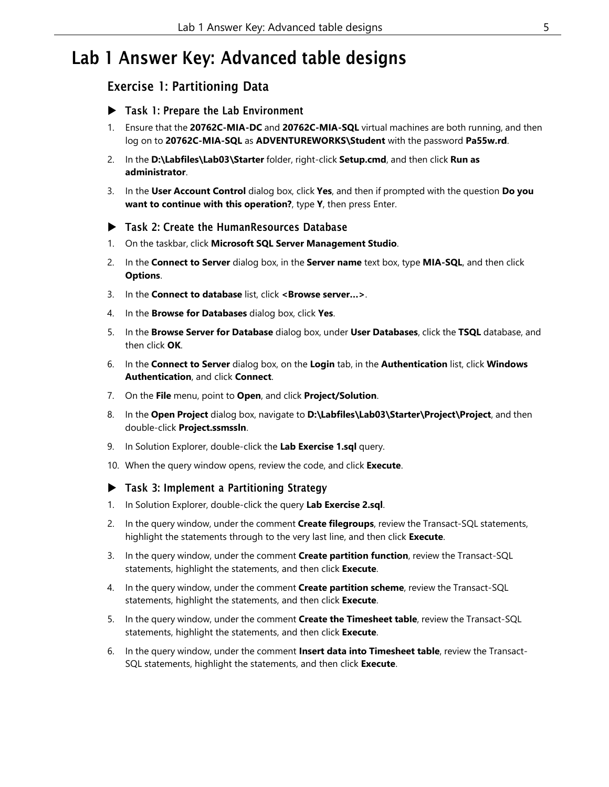## <span id="page-4-0"></span>Lab 1 Answer Key: Advanced table designs

## Exercise 1: Partitioning Data

## Task 1: Prepare the Lab Environment

- 1. Ensure that the **20762C-MIA-DC** and **20762C-MIA-SQL** virtual machines are both running, and then log on to **20762C-MIA-SQL** as **ADVENTUREWORKS\Student** with the password **Pa55w.rd**.
- 2. In the **D:\Labfiles\Lab03\Starter** folder, right-click **Setup.cmd**, and then click **Run as administrator**.
- 3. In the **User Account Control** dialog box, click **Yes**, and then if prompted with the question **Do you want to continue with this operation?**, type **Y**, then press Enter.

### ▶ Task 2: Create the HumanResources Database

- 1. On the taskbar, click **Microsoft SQL Server Management Studio**.
- 2. In the **Connect to Server** dialog box, in the **Server name** text box, type **MIA-SQL**, and then click **Options**.
- 3. In the **Connect to database** list, click **<Browse server…>**.
- 4. In the **Browse for Databases** dialog box, click **Yes**.
- 5. In the **Browse Server for Database** dialog box, under **User Databases**, click the **TSQL** database, and then click **OK**.
- 6. In the **Connect to Server** dialog box, on the **Login** tab, in the **Authentication** list, click **Windows Authentication**, and click **Connect**.
- 7. On the **File** menu, point to **Open**, and click **Project/Solution**.
- 8. In the **Open Project** dialog box, navigate to **D:\Labfiles\Lab03\Starter\Project\Project**, and then double-click **Project.ssmssln**.
- 9. In Solution Explorer, double-click the **Lab Exercise 1.sql** query.
- 10. When the query window opens, review the code, and click **Execute**.

### ▶ Task 3: Implement a Partitioning Strategy

- 1. In Solution Explorer, double-click the query **Lab Exercise 2.sql**.
- 2. In the query window, under the comment **Create filegroups**, review the Transact-SQL statements, highlight the statements through to the very last line, and then click **Execute**.
- 3. In the query window, under the comment **Create partition function**, review the Transact-SQL statements, highlight the statements, and then click **Execute**.
- 4. In the query window, under the comment **Create partition scheme**, review the Transact-SQL statements, highlight the statements, and then click **Execute**.
- 5. In the query window, under the comment **Create the Timesheet table**, review the Transact-SQL statements, highlight the statements, and then click **Execute**.
- 6. In the query window, under the comment **Insert data into Timesheet table**, review the Transact-SQL statements, highlight the statements, and then click **Execute**.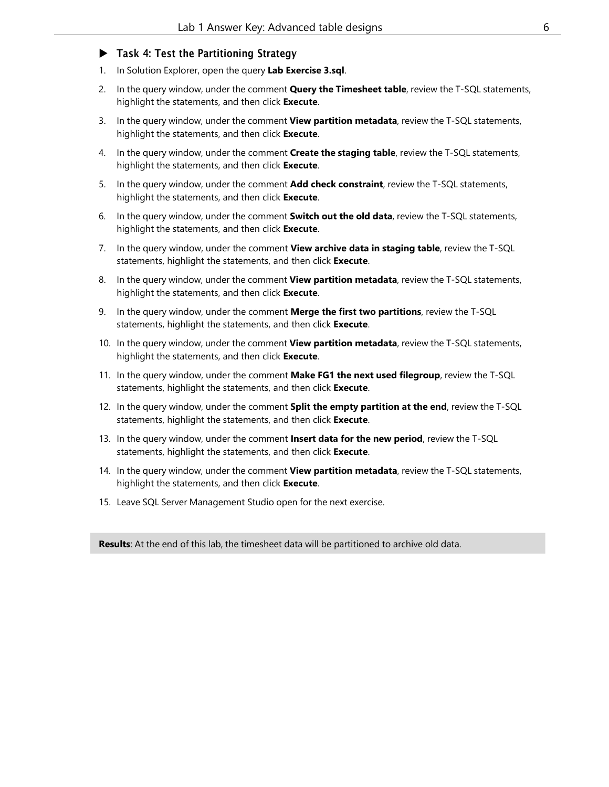## ▶ Task 4: Test the Partitioning Strategy

- 1. In Solution Explorer, open the query **Lab Exercise 3.sql**.
- 2. In the query window, under the comment **Query the Timesheet table**, review the T-SQL statements, highlight the statements, and then click **Execute**.
- 3. In the query window, under the comment **View partition metadata**, review the T-SQL statements, highlight the statements, and then click **Execute**.
- 4. In the query window, under the comment **Create the staging table**, review the T-SQL statements, highlight the statements, and then click **Execute**.
- 5. In the query window, under the comment **Add check constraint**, review the T-SQL statements, highlight the statements, and then click **Execute**.
- 6. In the query window, under the comment **Switch out the old data**, review the T-SQL statements, highlight the statements, and then click **Execute**.
- 7. In the query window, under the comment **View archive data in staging table**, review the T-SQL statements, highlight the statements, and then click **Execute**.
- 8. In the query window, under the comment **View partition metadata**, review the T-SQL statements, highlight the statements, and then click **Execute**.
- 9. In the query window, under the comment **Merge the first two partitions**, review the T-SQL statements, highlight the statements, and then click **Execute**.
- 10. In the query window, under the comment **View partition metadata**, review the T-SQL statements, highlight the statements, and then click **Execute**.
- 11. In the query window, under the comment **Make FG1 the next used filegroup**, review the T-SQL statements, highlight the statements, and then click **Execute**.
- 12. In the query window, under the comment **Split the empty partition at the end**, review the T-SQL statements, highlight the statements, and then click **Execute**.
- 13. In the query window, under the comment **Insert data for the new period**, review the T-SQL statements, highlight the statements, and then click **Execute**.
- 14. In the query window, under the comment **View partition metadata**, review the T-SQL statements, highlight the statements, and then click **Execute**.
- 15. Leave SQL Server Management Studio open for the next exercise.

**Results**: At the end of this lab, the timesheet data will be partitioned to archive old data.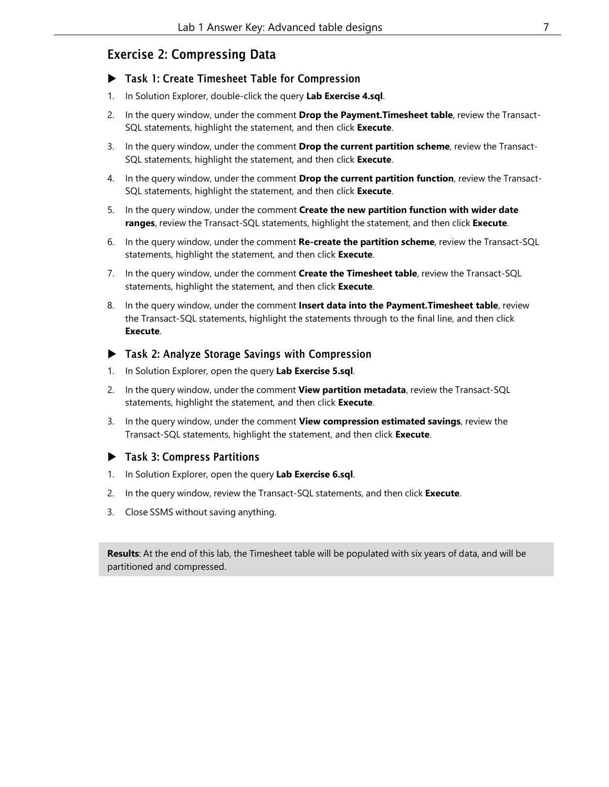## Exercise 2: Compressing Data

## ▶ Task 1: Create Timesheet Table for Compression

- 1. In Solution Explorer, double-click the query **Lab Exercise 4.sql**.
- 2. In the query window, under the comment **Drop the Payment.Timesheet table**, review the Transact-SQL statements, highlight the statement, and then click **Execute**.
- 3. In the query window, under the comment **Drop the current partition scheme**, review the Transact-SQL statements, highlight the statement, and then click **Execute**.
- 4. In the query window, under the comment **Drop the current partition function**, review the Transact-SQL statements, highlight the statement, and then click **Execute**.
- 5. In the query window, under the comment **Create the new partition function with wider date ranges**, review the Transact-SQL statements, highlight the statement, and then click **Execute**.
- 6. In the query window, under the comment **Re-create the partition scheme**, review the Transact-SQL statements, highlight the statement, and then click **Execute**.
- 7. In the query window, under the comment **Create the Timesheet table**, review the Transact-SQL statements, highlight the statement, and then click **Execute**.
- 8. In the query window, under the comment **Insert data into the Payment.Timesheet table**, review the Transact-SQL statements, highlight the statements through to the final line, and then click **Execute**.

### ▶ Task 2: Analyze Storage Savings with Compression

- 1. In Solution Explorer, open the query **Lab Exercise 5.sql**.
- 2. In the query window, under the comment **View partition metadata**, review the Transact-SQL statements, highlight the statement, and then click **Execute**.
- 3. In the query window, under the comment **View compression estimated savings**, review the Transact-SQL statements, highlight the statement, and then click **Execute**.

### ▶ Task 3: Compress Partitions

- 1. In Solution Explorer, open the query **Lab Exercise 6.sql**.
- 2. In the query window, review the Transact-SQL statements, and then click **Execute**.
- 3. Close SSMS without saving anything.

**Results**: At the end of this lab, the Timesheet table will be populated with six years of data, and will be partitioned and compressed.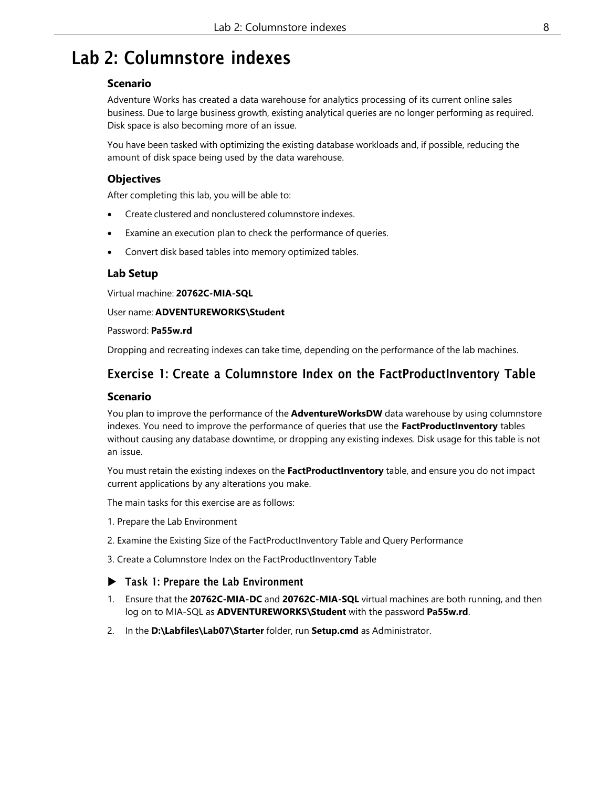## <span id="page-7-0"></span>Lab 2: Columnstore indexes

## **Scenario**

Adventure Works has created a data warehouse for analytics processing of its current online sales business. Due to large business growth, existing analytical queries are no longer performing as required. Disk space is also becoming more of an issue.

You have been tasked with optimizing the existing database workloads and, if possible, reducing the amount of disk space being used by the data warehouse.

## **Objectives**

After completing this lab, you will be able to:

- Create clustered and nonclustered columnstore indexes.
- Examine an execution plan to check the performance of queries.
- Convert disk based tables into memory optimized tables.

## **Lab Setup**

Virtual machine: **20762C-MIA-SQL**

User name: **ADVENTUREWORKS\Student**

#### Password: **Pa55w.rd**

Dropping and recreating indexes can take time, depending on the performance of the lab machines.

## Exercise 1: Create a Columnstore Index on the FactProductInventory Table

### **Scenario**

You plan to improve the performance of the **AdventureWorksDW** data warehouse by using columnstore indexes. You need to improve the performance of queries that use the **FactProductInventory** tables without causing any database downtime, or dropping any existing indexes. Disk usage for this table is not an issue.

You must retain the existing indexes on the **FactProductInventory** table, and ensure you do not impact current applications by any alterations you make.

The main tasks for this exercise are as follows:

- 1. Prepare the Lab Environment
- 2. Examine the Existing Size of the FactProductInventory Table and Query Performance

3. Create a Columnstore Index on the FactProductInventory Table

## ▶ Task 1: Prepare the Lab Environment

- 1. Ensure that the **20762C-MIA-DC** and **20762C-MIA-SQL** virtual machines are both running, and then log on to MIA-SQL as **ADVENTUREWORKS\Student** with the password **Pa55w.rd**.
- 2. In the **D:\Labfiles\Lab07\Starter** folder, run **Setup.cmd** as Administrator.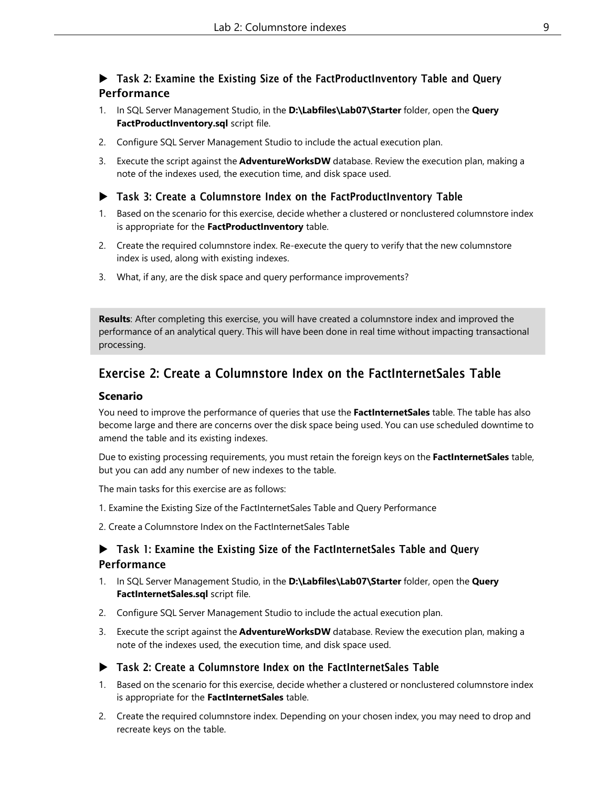## Task 2: Examine the Existing Size of the FactProductInventory Table and Query Performance

- 1. In SQL Server Management Studio, in the **D:\Labfiles\Lab07\Starter** folder, open the **Query FactProductInventory.sql** script file.
- 2. Configure SQL Server Management Studio to include the actual execution plan.
- 3. Execute the script against the **AdventureWorksDW** database. Review the execution plan, making a note of the indexes used, the execution time, and disk space used.

## ▶ Task 3: Create a Columnstore Index on the FactProductInventory Table

- 1. Based on the scenario for this exercise, decide whether a clustered or nonclustered columnstore index is appropriate for the **FactProductInventory** table.
- 2. Create the required columnstore index. Re-execute the query to verify that the new columnstore index is used, along with existing indexes.
- 3. What, if any, are the disk space and query performance improvements?

**Results**: After completing this exercise, you will have created a columnstore index and improved the performance of an analytical query. This will have been done in real time without impacting transactional processing.

## Exercise 2: Create a Columnstore Index on the FactInternetSales Table

### **Scenario**

You need to improve the performance of queries that use the **FactInternetSales** table. The table has also become large and there are concerns over the disk space being used. You can use scheduled downtime to amend the table and its existing indexes.

Due to existing processing requirements, you must retain the foreign keys on the **FactInternetSales** table, but you can add any number of new indexes to the table.

The main tasks for this exercise are as follows:

- 1. Examine the Existing Size of the FactInternetSales Table and Query Performance
- 2. Create a Columnstore Index on the FactInternetSales Table

## Task 1: Examine the Existing Size of the FactInternetSales Table and Query **Performance**

- 1. In SQL Server Management Studio, in the **D:\Labfiles\Lab07\Starter** folder, open the **Query FactInternetSales.sql** script file.
- 2. Configure SQL Server Management Studio to include the actual execution plan.
- 3. Execute the script against the **AdventureWorksDW** database. Review the execution plan, making a note of the indexes used, the execution time, and disk space used.
- ▶ Task 2: Create a Columnstore Index on the FactInternetSales Table
- 1. Based on the scenario for this exercise, decide whether a clustered or nonclustered columnstore index is appropriate for the **FactInternetSales** table.
- 2. Create the required columnstore index. Depending on your chosen index, you may need to drop and recreate keys on the table.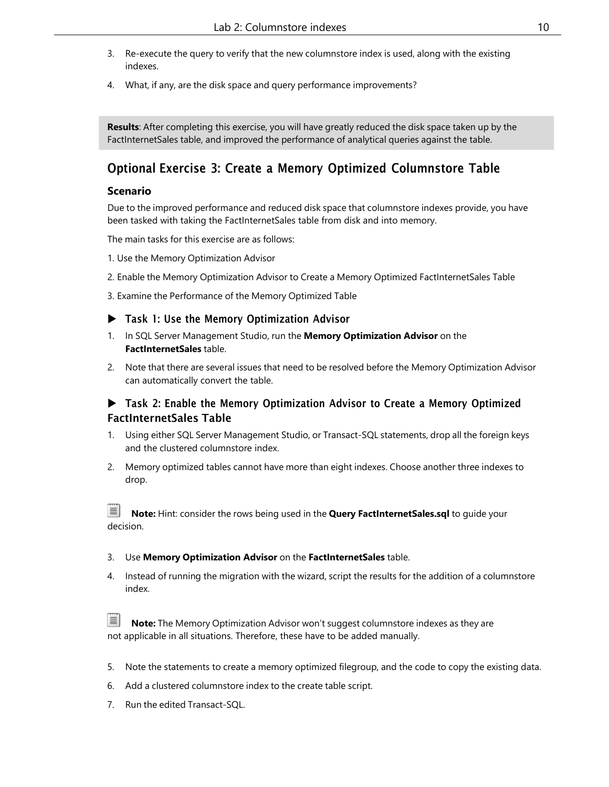- 3. Re-execute the query to verify that the new columnstore index is used, along with the existing indexes.
- 4. What, if any, are the disk space and query performance improvements?

**Results**: After completing this exercise, you will have greatly reduced the disk space taken up by the FactInternetSales table, and improved the performance of analytical queries against the table.

## Optional Exercise 3: Create a Memory Optimized Columnstore Table

## **Scenario**

Due to the improved performance and reduced disk space that columnstore indexes provide, you have been tasked with taking the FactInternetSales table from disk and into memory.

The main tasks for this exercise are as follows:

- 1. Use the Memory Optimization Advisor
- 2. Enable the Memory Optimization Advisor to Create a Memory Optimized FactInternetSales Table

3. Examine the Performance of the Memory Optimized Table

## Task 1: Use the Memory Optimization Advisor

- 1. In SQL Server Management Studio, run the **Memory Optimization Advisor** on the **FactInternetSales** table.
- 2. Note that there are several issues that need to be resolved before the Memory Optimization Advisor can automatically convert the table.

## Task 2: Enable the Memory Optimization Advisor to Create a Memory Optimized FactInternetSales Table

- 1. Using either SQL Server Management Studio, or Transact-SQL statements, drop all the foreign keys and the clustered columnstore index.
- 2. Memory optimized tables cannot have more than eight indexes. Choose another three indexes to drop.

 **Note:** Hint: consider the rows being used in the **Query FactInternetSales.sql** to guide your decision.

#### 3. Use **Memory Optimization Advisor** on the **FactInternetSales** table.

4. Instead of running the migration with the wizard, script the results for the addition of a columnstore index.

**Note:** The Memory Optimization Advisor won't suggest columnstore indexes as they are not applicable in all situations. Therefore, these have to be added manually.

- 5. Note the statements to create a memory optimized filegroup, and the code to copy the existing data.
- 6. Add a clustered columnstore index to the create table script.
- 7. Run the edited Transact-SQL.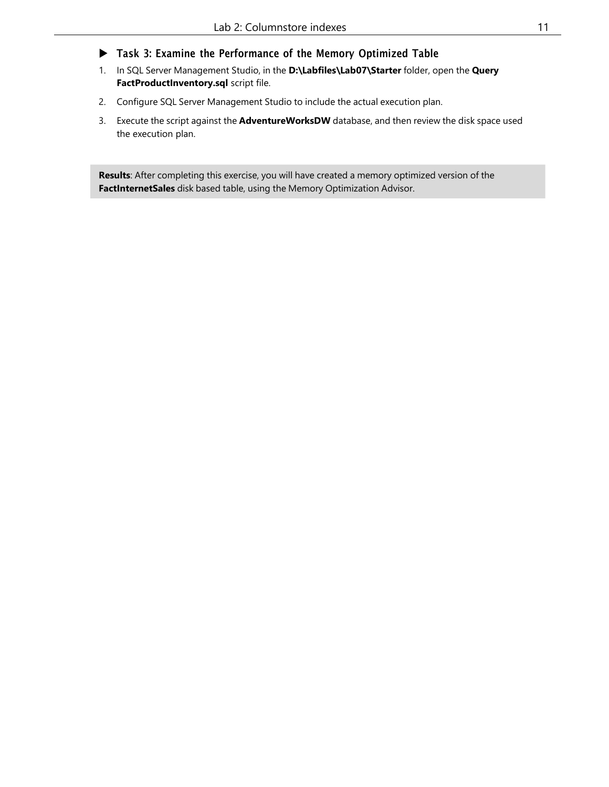## Task 3: Examine the Performance of the Memory Optimized Table

- 1. In SQL Server Management Studio, in the **D:\Labfiles\Lab07\Starter** folder, open the **Query FactProductInventory.sql** script file.
- 2. Configure SQL Server Management Studio to include the actual execution plan.
- 3. Execute the script against the **AdventureWorksDW** database, and then review the disk space used the execution plan.

**Results**: After completing this exercise, you will have created a memory optimized version of the **FactInternetSales** disk based table, using the Memory Optimization Advisor.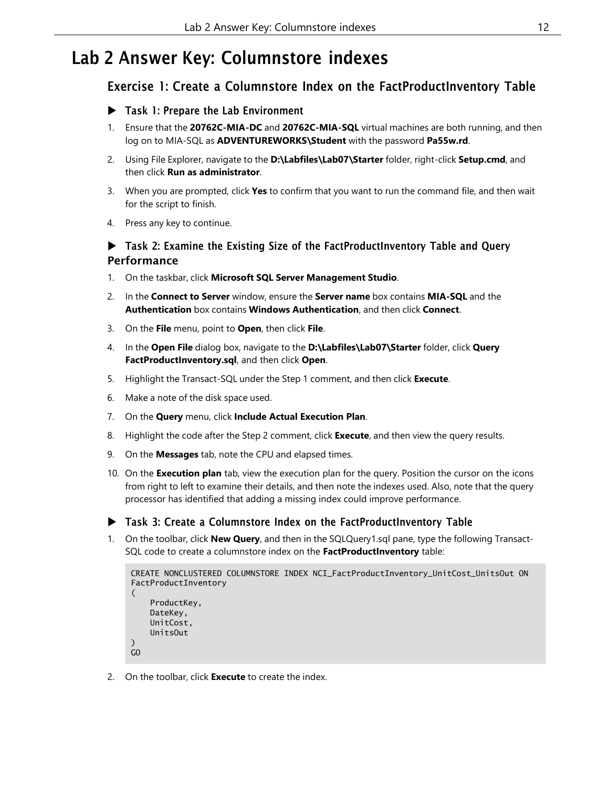## <span id="page-11-0"></span>Lab 2 Answer Key: Columnstore indexes

## Exercise 1: Create a Columnstore Index on the FactProductInventory Table

## Task 1: Prepare the Lab Environment

- 1. Ensure that the **20762C-MIA-DC** and **20762C-MIA-SQL** virtual machines are both running, and then log on to MIA-SQL as **ADVENTUREWORKS\Student** with the password **Pa55w.rd**.
- 2. Using File Explorer, navigate to the **D:\Labfiles\Lab07\Starter** folder, right-click **Setup.cmd**, and then click **Run as administrator**.
- 3. When you are prompted, click **Yes** to confirm that you want to run the command file, and then wait for the script to finish.
- 4. Press any key to continue.

## Task 2: Examine the Existing Size of the FactProductInventory Table and Query Performance

- 1. On the taskbar, click **Microsoft SQL Server Management Studio**.
- 2. In the **Connect to Server** window, ensure the **Server name** box contains **MIA-SQL** and the **Authentication** box contains **Windows Authentication**, and then click **Connect**.
- 3. On the **File** menu, point to **Open**, then click **File**.
- 4. In the **Open File** dialog box, navigate to the **D:\Labfiles\Lab07\Starter** folder, click **Query FactProductInventory.sql**, and then click **Open**.
- 5. Highlight the Transact-SQL under the Step 1 comment, and then click **Execute**.
- 6. Make a note of the disk space used.
- 7. On the **Query** menu, click **Include Actual Execution Plan**.
- 8. Highlight the code after the Step 2 comment, click **Execute**, and then view the query results.
- 9. On the **Messages** tab, note the CPU and elapsed times.
- 10. On the **Execution plan** tab, view the execution plan for the query. Position the cursor on the icons from right to left to examine their details, and then note the indexes used. Also, note that the query processor has identified that adding a missing index could improve performance.

## Task 3: Create a Columnstore Index on the FactProductInventory Table

1. On the toolbar, click **New Query**, and then in the SQLQuery1.sql pane, type the following Transact-SQL code to create a columnstore index on the **FactProductInventory** table:

```
CREATE NONCLUSTERED COLUMNSTORE INDEX NCI_FactProductInventory_UnitCost_UnitsOut ON
FactProductInventory
(
    ProductKey,
    DateKey,
    UnitCost,
    UnitsOut
)
GO
```
2. On the toolbar, click **Execute** to create the index.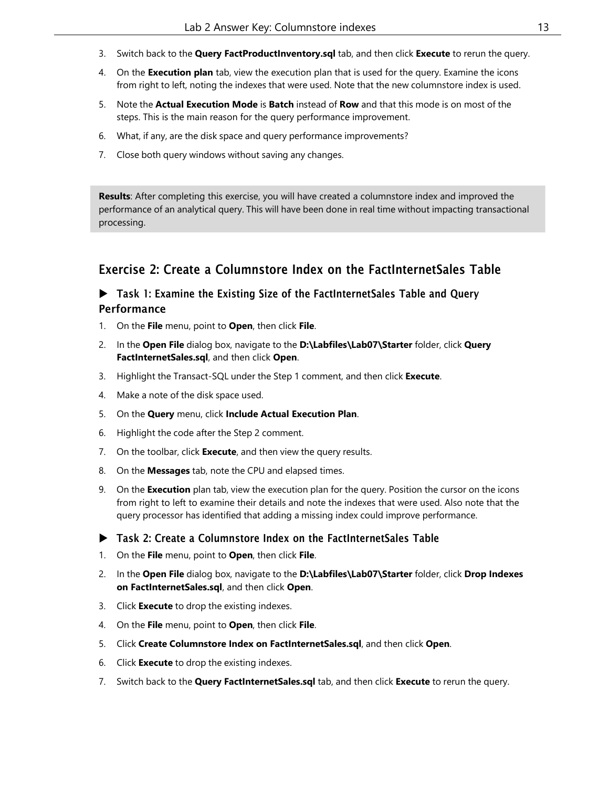- 3. Switch back to the **Query FactProductInventory.sql** tab, and then click **Execute** to rerun the query.
- 4. On the **Execution plan** tab, view the execution plan that is used for the query. Examine the icons from right to left, noting the indexes that were used. Note that the new columnstore index is used.
- 5. Note the **Actual Execution Mode** is **Batch** instead of **Row** and that this mode is on most of the steps. This is the main reason for the query performance improvement.
- 6. What, if any, are the disk space and query performance improvements?
- 7. Close both query windows without saving any changes.

**Results**: After completing this exercise, you will have created a columnstore index and improved the performance of an analytical query. This will have been done in real time without impacting transactional processing.

## Exercise 2: Create a Columnstore Index on the FactInternetSales Table

## ▶ Task 1: Examine the Existing Size of the FactInternetSales Table and Query Performance

- 1. On the **File** menu, point to **Open**, then click **File**.
- 2. In the **Open File** dialog box, navigate to the **D:\Labfiles\Lab07\Starter** folder, click **Query FactInternetSales.sql**, and then click **Open**.
- 3. Highlight the Transact-SQL under the Step 1 comment, and then click **Execute**.
- 4. Make a note of the disk space used.
- 5. On the **Query** menu, click **Include Actual Execution Plan**.
- 6. Highlight the code after the Step 2 comment.
- 7. On the toolbar, click **Execute**, and then view the query results.
- 8. On the **Messages** tab, note the CPU and elapsed times.
- 9. On the **Execution** plan tab, view the execution plan for the query. Position the cursor on the icons from right to left to examine their details and note the indexes that were used. Also note that the query processor has identified that adding a missing index could improve performance.

### Task 2: Create a Columnstore Index on the FactInternetSales Table

- 1. On the **File** menu, point to **Open**, then click **File**.
- 2. In the **Open File** dialog box, navigate to the **D:\Labfiles\Lab07\Starter** folder, click **Drop Indexes on FactInternetSales.sql**, and then click **Open**.
- 3. Click **Execute** to drop the existing indexes.
- 4. On the **File** menu, point to **Open**, then click **File**.
- 5. Click **Create Columnstore Index on FactInternetSales.sql**, and then click **Open**.
- 6. Click **Execute** to drop the existing indexes.
- 7. Switch back to the **Query FactInternetSales.sql** tab, and then click **Execute** to rerun the query.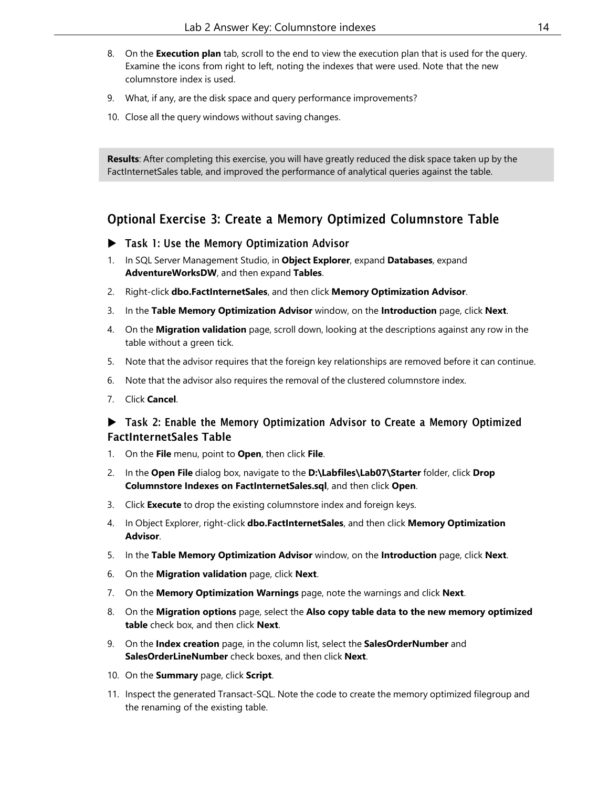- 8. On the **Execution plan** tab, scroll to the end to view the execution plan that is used for the query. Examine the icons from right to left, noting the indexes that were used. Note that the new columnstore index is used.
- 9. What, if any, are the disk space and query performance improvements?
- 10. Close all the query windows without saving changes.

**Results**: After completing this exercise, you will have greatly reduced the disk space taken up by the FactInternetSales table, and improved the performance of analytical queries against the table.

## Optional Exercise 3: Create a Memory Optimized Columnstore Table

### Task 1: Use the Memory Optimization Advisor

- 1. In SQL Server Management Studio, in **Object Explorer**, expand **Databases**, expand **AdventureWorksDW**, and then expand **Tables**.
- 2. Right-click **dbo.FactInternetSales**, and then click **Memory Optimization Advisor**.
- 3. In the **Table Memory Optimization Advisor** window, on the **Introduction** page, click **Next**.
- 4. On the **Migration validation** page, scroll down, looking at the descriptions against any row in the table without a green tick.
- 5. Note that the advisor requires that the foreign key relationships are removed before it can continue.
- 6. Note that the advisor also requires the removal of the clustered columnstore index.
- 7. Click **Cancel**.

## Task 2: Enable the Memory Optimization Advisor to Create a Memory Optimized FactInternetSales Table

- 1. On the **File** menu, point to **Open**, then click **File**.
- 2. In the **Open File** dialog box, navigate to the **D:\Labfiles\Lab07\Starter** folder, click **Drop Columnstore Indexes on FactInternetSales.sql**, and then click **Open**.
- 3. Click **Execute** to drop the existing columnstore index and foreign keys.
- 4. In Object Explorer, right-click **dbo.FactInternetSales**, and then click **Memory Optimization Advisor**.
- 5. In the **Table Memory Optimization Advisor** window, on the **Introduction** page, click **Next**.
- 6. On the **Migration validation** page, click **Next**.
- 7. On the **Memory Optimization Warnings** page, note the warnings and click **Next**.
- 8. On the **Migration options** page, select the **Also copy table data to the new memory optimized table** check box, and then click **Next**.
- 9. On the **Index creation** page, in the column list, select the **SalesOrderNumber** and **SalesOrderLineNumber** check boxes, and then click **Next**.
- 10. On the **Summary** page, click **Script**.
- 11. Inspect the generated Transact-SQL. Note the code to create the memory optimized filegroup and the renaming of the existing table.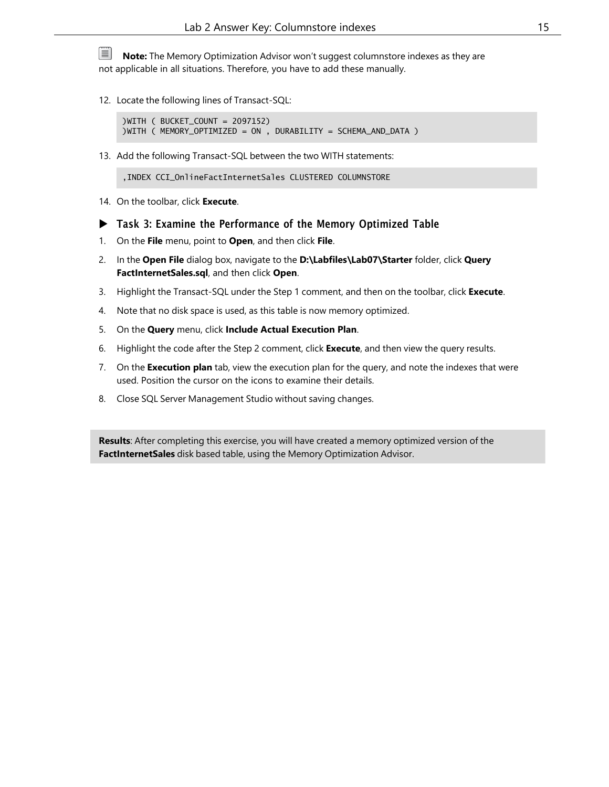**Note:** The Memory Optimization Advisor won't suggest columnstore indexes as they are not applicable in all situations. Therefore, you have to add these manually.

12. Locate the following lines of Transact-SQL:

```
)WITH ( BUCKET_COUNT = 2097152)
)WITH ( MEMORY_OPTIMIZED = ON , DURABILITY = SCHEMA_AND_DATA )
```
13. Add the following Transact-SQL between the two WITH statements:

,INDEX CCI\_OnlineFactInternetSales CLUSTERED COLUMNSTORE

- 14. On the toolbar, click **Execute**.
- Task 3: Examine the Performance of the Memory Optimized Table
- 1. On the **File** menu, point to **Open**, and then click **File**.
- 2. In the **Open File** dialog box, navigate to the **D:\Labfiles\Lab07\Starter** folder, click **Query FactInternetSales.sql**, and then click **Open**.
- 3. Highlight the Transact-SQL under the Step 1 comment, and then on the toolbar, click **Execute**.
- 4. Note that no disk space is used, as this table is now memory optimized.
- 5. On the **Query** menu, click **Include Actual Execution Plan**.
- 6. Highlight the code after the Step 2 comment, click **Execute**, and then view the query results.
- 7. On the **Execution plan** tab, view the execution plan for the query, and note the indexes that were used. Position the cursor on the icons to examine their details.
- 8. Close SQL Server Management Studio without saving changes.

**Results**: After completing this exercise, you will have created a memory optimized version of the **FactInternetSales** disk based table, using the Memory Optimization Advisor.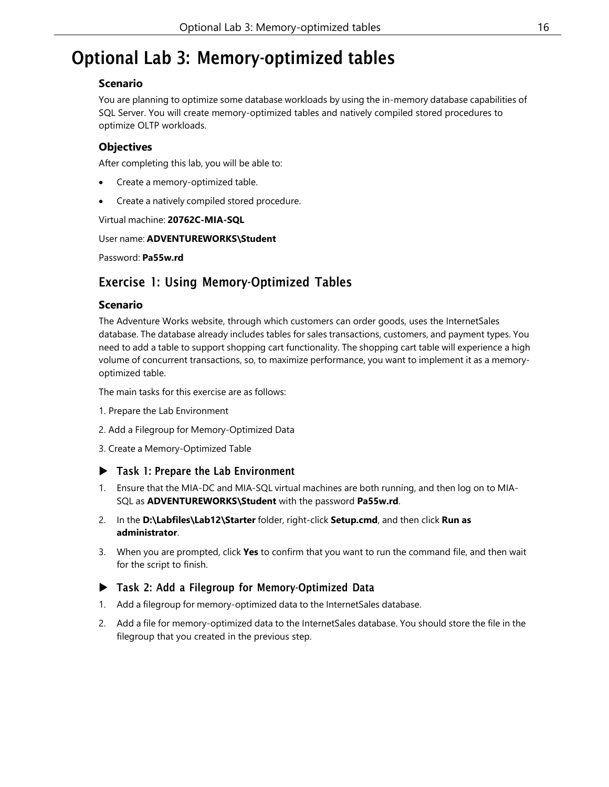## <span id="page-15-0"></span>Optional Lab 3: Memory-optimized tables

## **Scenario**

You are planning to optimize some database workloads by using the in-memory database capabilities of SQL Server. You will create memory-optimized tables and natively compiled stored procedures to optimize OLTP workloads.

## **Objectives**

After completing this lab, you will be able to:

- Create a memory-optimized table.
- Create a natively compiled stored procedure.

## Virtual machine: **20762C-MIA-SQL**

## User name: **ADVENTUREWORKS\Student**

Password: **Pa55w.rd**

## Exercise 1: Using Memory-Optimized Tables

## **Scenario**

The Adventure Works website, through which customers can order goods, uses the InternetSales database. The database already includes tables for sales transactions, customers, and payment types. You need to add a table to support shopping cart functionality. The shopping cart table will experience a high volume of concurrent transactions, so, to maximize performance, you want to implement it as a memoryoptimized table.

The main tasks for this exercise are as follows:

- 1. Prepare the Lab Environment
- 2. Add a Filegroup for Memory-Optimized Data
- 3. Create a Memory-Optimized Table

## ▶ Task 1: Prepare the Lab Environment

- 1. Ensure that the MIA-DC and MIA-SQL virtual machines are both running, and then log on to MIA-SQL as **ADVENTUREWORKS\Student** with the password **Pa55w.rd**.
- 2. In the **D:\Labfiles\Lab12\Starter** folder, right-click **Setup.cmd**, and then click **Run as administrator**.
- 3. When you are prompted, click **Yes** to confirm that you want to run the command file, and then wait for the script to finish.

## ▶ Task 2: Add a Filegroup for Memory-Optimized Data

- 1. Add a filegroup for memory-optimized data to the InternetSales database.
- 2. Add a file for memory-optimized data to the InternetSales database. You should store the file in the filegroup that you created in the previous step.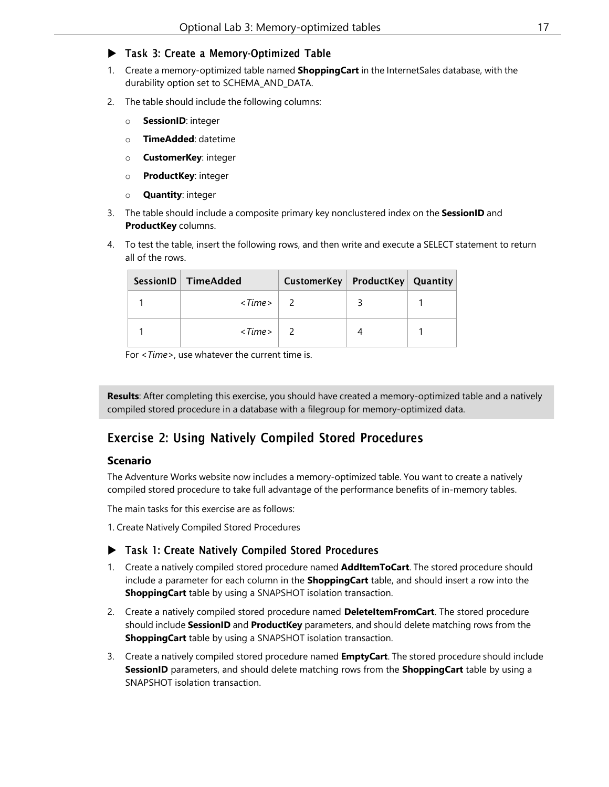## Task 3: Create a Memory-Optimized Table

- 1. Create a memory-optimized table named **ShoppingCart** in the InternetSales database, with the durability option set to SCHEMA\_AND\_DATA.
- 2. The table should include the following columns:
	- o **SessionID**: integer
	- o **TimeAdded**: datetime
	- o **CustomerKey**: integer
	- o **ProductKey**: integer
	- o **Quantity**: integer
- 3. The table should include a composite primary key nonclustered index on the **SessionID** and **ProductKey** columns.
- 4. To test the table, insert the following rows, and then write and execute a SELECT statement to return all of the rows.

| SessionID TimeAdded  | CustomerKey   ProductKey   Quantity |  |
|----------------------|-------------------------------------|--|
| $<$ Time $>$ $\vert$ |                                     |  |
| $<$ Time $>$ $\vert$ |                                     |  |

For *<Time>*, use whatever the current time is.

**Results**: After completing this exercise, you should have created a memory-optimized table and a natively compiled stored procedure in a database with a filegroup for memory-optimized data.

## Exercise 2: Using Natively Compiled Stored Procedures

## **Scenario**

The Adventure Works website now includes a memory-optimized table. You want to create a natively compiled stored procedure to take full advantage of the performance benefits of in-memory tables.

The main tasks for this exercise are as follows:

1. Create Natively Compiled Stored Procedures

## Task 1: Create Natively Compiled Stored Procedures

- 1. Create a natively compiled stored procedure named **AddItemToCart**. The stored procedure should include a parameter for each column in the **ShoppingCart** table, and should insert a row into the **ShoppingCart** table by using a SNAPSHOT isolation transaction.
- 2. Create a natively compiled stored procedure named **DeleteItemFromCart**. The stored procedure should include **SessionID** and **ProductKey** parameters, and should delete matching rows from the **ShoppingCart** table by using a SNAPSHOT isolation transaction.
- 3. Create a natively compiled stored procedure named **EmptyCart**. The stored procedure should include **SessionID** parameters, and should delete matching rows from the **ShoppingCart** table by using a SNAPSHOT isolation transaction.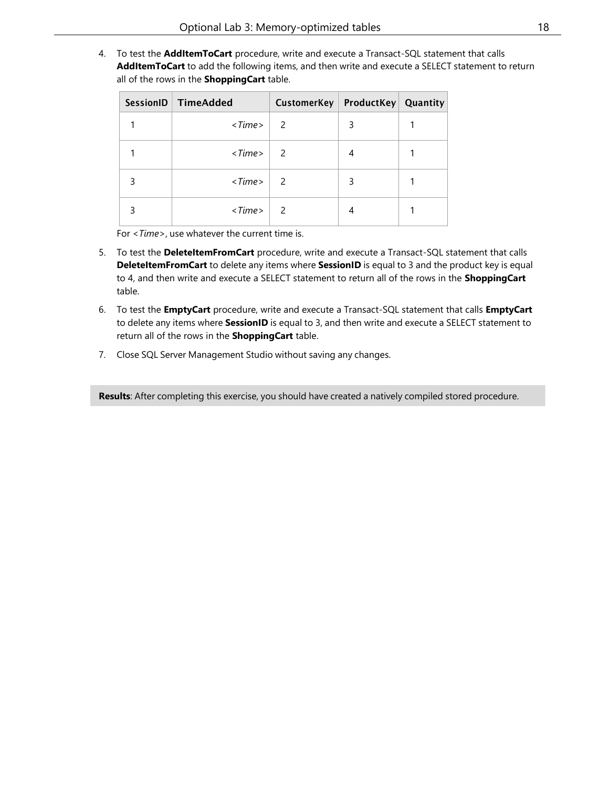4. To test the **AddItemToCart** procedure, write and execute a Transact-SQL statement that calls **AddItemToCart** to add the following items, and then write and execute a SELECT statement to return all of the rows in the **ShoppingCart** table.

|   | SessionID   TimeAdded | CustomerKey   ProductKey   Quantity |   |  |
|---|-----------------------|-------------------------------------|---|--|
|   | $<$ Time> $\vert$     | $\vert$ 2                           | 3 |  |
|   | $<$ Time> $ $         | $\vert$ 2                           | 4 |  |
| ς | < Time >              | $\overline{2}$                      | 3 |  |
|   | < Time >              | $\overline{2}$                      |   |  |

For *<Time>*, use whatever the current time is.

- 5. To test the **DeleteItemFromCart** procedure, write and execute a Transact-SQL statement that calls **DeleteItemFromCart** to delete any items where **SessionID** is equal to 3 and the product key is equal to 4, and then write and execute a SELECT statement to return all of the rows in the **ShoppingCart** table.
- 6. To test the **EmptyCart** procedure, write and execute a Transact-SQL statement that calls **EmptyCart** to delete any items where **SessionID** is equal to 3, and then write and execute a SELECT statement to return all of the rows in the **ShoppingCart** table.
- 7. Close SQL Server Management Studio without saving any changes.

**Results**: After completing this exercise, you should have created a natively compiled stored procedure.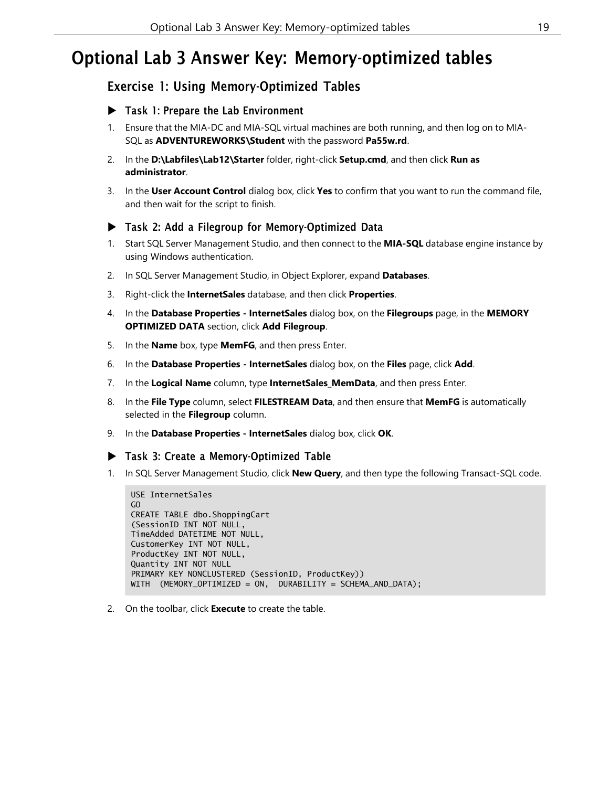## <span id="page-18-0"></span>Optional Lab 3 Answer Key: Memory-optimized tables

## Exercise 1: Using Memory-Optimized Tables

## Task 1: Prepare the Lab Environment

- 1. Ensure that the MIA-DC and MIA-SQL virtual machines are both running, and then log on to MIA-SQL as **ADVENTUREWORKS\Student** with the password **Pa55w.rd**.
- 2. In the **D:\Labfiles\Lab12\Starter** folder, right-click **Setup.cmd**, and then click **Run as administrator**.
- 3. In the **User Account Control** dialog box, click **Yes** to confirm that you want to run the command file, and then wait for the script to finish.

## Task 2: Add a Filegroup for Memory-Optimized Data

- 1. Start SQL Server Management Studio, and then connect to the **MIA-SQL** database engine instance by using Windows authentication.
- 2. In SQL Server Management Studio, in Object Explorer, expand **Databases**.
- 3. Right-click the **InternetSales** database, and then click **Properties**.
- 4. In the **Database Properties - InternetSales** dialog box, on the **Filegroups** page, in the **MEMORY OPTIMIZED DATA** section, click **Add Filegroup**.
- 5. In the **Name** box, type **MemFG**, and then press Enter.
- 6. In the **Database Properties - InternetSales** dialog box, on the **Files** page, click **Add**.
- 7. In the **Logical Name** column, type **InternetSales\_MemData**, and then press Enter.
- 8. In the **File Type** column, select **FILESTREAM Data**, and then ensure that **MemFG** is automatically selected in the **Filegroup** column.
- 9. In the **Database Properties - InternetSales** dialog box, click **OK**.
- Task 3: Create a Memory-Optimized Table
- 1. In SQL Server Management Studio, click **New Query**, and then type the following Transact-SQL code.

```
USE InternetSales
GO
CREATE TABLE dbo.ShoppingCart
(SessionID INT NOT NULL,
TimeAdded DATETIME NOT NULL,
CustomerKey INT NOT NULL,
ProductKey INT NOT NULL,
Quantity INT NOT NULL
PRIMARY KEY NONCLUSTERED (SessionID, ProductKey))
WITH (MEMORY_OPTIMIZED = ON, DURABILITY = SCHEMA_AND_DATA);
```
2. On the toolbar, click **Execute** to create the table.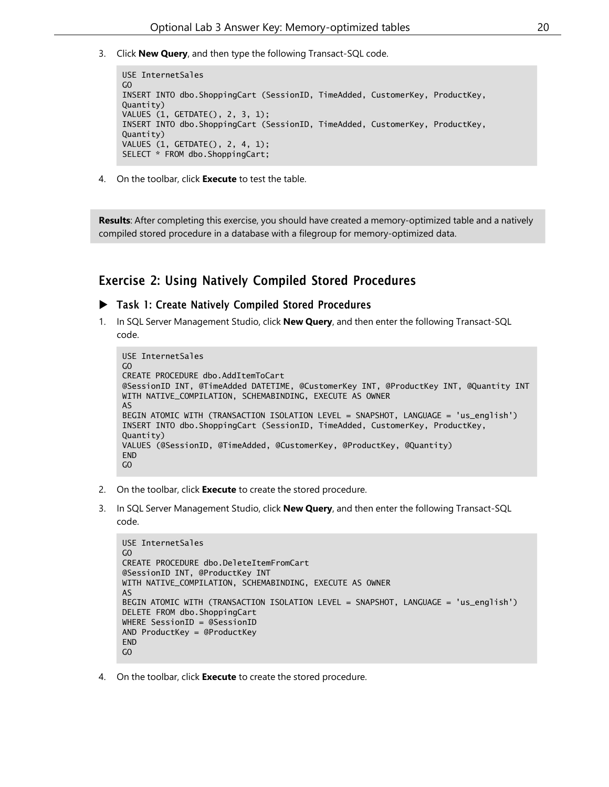3. Click **New Query**, and then type the following Transact-SQL code.

```
USE InternetSales
GO
INSERT INTO dbo.ShoppingCart (SessionID, TimeAdded, CustomerKey, ProductKey,
Quantity)
VALUES (1, GETDATE(), 2, 3, 1);
INSERT INTO dbo.ShoppingCart (SessionID, TimeAdded, CustomerKey, ProductKey,
Quantity)
VALUES (1, GETDATE(), 2, 4, 1);
SELECT * FROM dbo.ShoppingCart;
```
4. On the toolbar, click **Execute** to test the table.

**Results**: After completing this exercise, you should have created a memory-optimized table and a natively compiled stored procedure in a database with a filegroup for memory-optimized data.

## Exercise 2: Using Natively Compiled Stored Procedures

### Task 1: Create Natively Compiled Stored Procedures

1. In SQL Server Management Studio, click **New Query**, and then enter the following Transact-SQL code.

```
USE InternetSales
GO
CREATE PROCEDURE dbo.AddItemToCart
@SessionID INT, @TimeAdded DATETIME, @CustomerKey INT, @ProductKey INT, @Quantity INT
WITH NATIVE_COMPILATION, SCHEMABINDING, EXECUTE AS OWNER
AS
BEGIN ATOMIC WITH (TRANSACTION ISOLATION LEVEL = SNAPSHOT, LANGUAGE = 'us_english')
INSERT INTO dbo.ShoppingCart (SessionID, TimeAdded, CustomerKey, ProductKey,
Quantity)
VALUES (@SessionID, @TimeAdded, @CustomerKey, @ProductKey, @Quantity)
END
GO
```
- 2. On the toolbar, click **Execute** to create the stored procedure.
- 3. In SQL Server Management Studio, click **New Query**, and then enter the following Transact-SQL code.

```
USE InternetSales
GO
CREATE PROCEDURE dbo.DeleteItemFromCart
@SessionID INT, @ProductKey INT
WITH NATIVE_COMPILATION, SCHEMABINDING, EXECUTE AS OWNER
AS
BEGIN ATOMIC WITH (TRANSACTION ISOLATION LEVEL = SNAPSHOT, LANGUAGE = 'us_english')
DELETE FROM dbo.ShoppingCart
WHERE SessionID = @SessionID
AND ProductKey = @ProductKey
END
GO
```
4. On the toolbar, click **Execute** to create the stored procedure.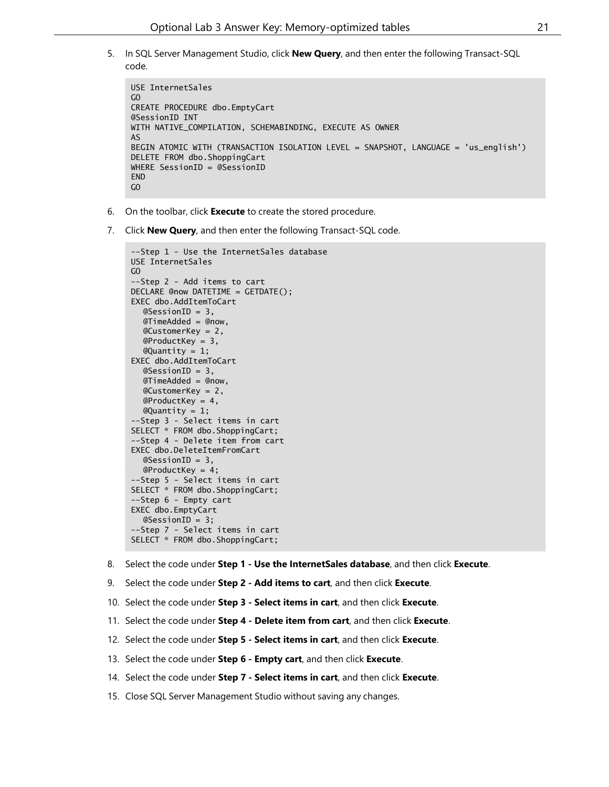5. In SQL Server Management Studio, click **New Query**, and then enter the following Transact-SQL code.

```
USE InternetSales
GO
CREATE PROCEDURE dbo.EmptyCart
@SessionID INT
WITH NATIVE_COMPILATION, SCHEMABINDING, EXECUTE AS OWNER
AS
BEGIN ATOMIC WITH (TRANSACTION ISOLATION LEVEL = SNAPSHOT, LANGUAGE = 'us_english')
DELETE FROM dbo.ShoppingCart
WHERE SessionID = @SessionID
FND
GO
```
- 6. On the toolbar, click **Execute** to create the stored procedure.
- 7. Click **New Query**, and then enter the following Transact-SQL code.

```
--Step 1 - Use the InternetSales database
USE InternetSales
GO
--Step 2 - Add items to cart
DECLARE @now DATETIME = GETDATE();
EXEC dbo.AddItemToCart
  @SessionID = 3,
  @TimeAdded = @now,
  @CustomerKey = 2,
  @ProductKey = 3,
  @Quantity = 1;EXEC dbo.AddItemToCart
  @SessionID = 3,
  @TimeAdded = @now,
  @CustomerKey = 2,@ProductKey = 4,@Quantity = 1;--Step 3 - Select items in cart
SELECT * FROM dbo.ShoppingCart;
--Step 4 - Delete item from cart
EXEC dbo.DeleteItemFromCart
  @SessionID = 3,@ProductKey = 4;
--Step 5 - Select items in cart
SELECT * FROM dbo.ShoppingCart;
--Step 6 - Empty cart
EXEC dbo.EmptyCart
  @SessionID = 3;
--Step 7 - Select items in cart
SELECT * FROM dbo.ShoppingCart;
```
- 8. Select the code under **Step 1 - Use the InternetSales database**, and then click **Execute**.
- 9. Select the code under **Step 2 - Add items to cart**, and then click **Execute**.
- 10. Select the code under **Step 3 - Select items in cart**, and then click **Execute**.
- 11. Select the code under **Step 4 - Delete item from cart**, and then click **Execute**.
- 12. Select the code under **Step 5 - Select items in cart**, and then click **Execute**.
- 13. Select the code under **Step 6 - Empty cart**, and then click **Execute**.
- 14. Select the code under **Step 7 - Select items in cart**, and then click **Execute**.
- 15. Close SQL Server Management Studio without saving any changes.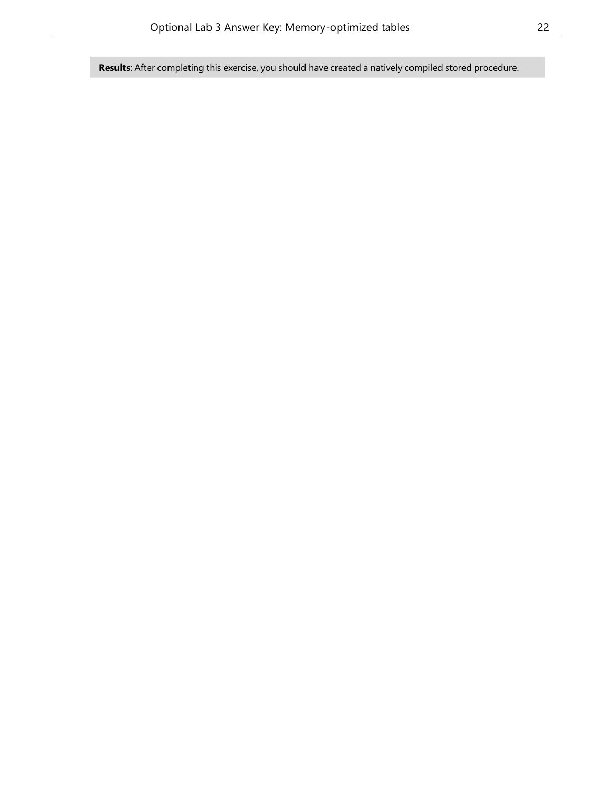**Results**: After completing this exercise, you should have created a natively compiled stored procedure.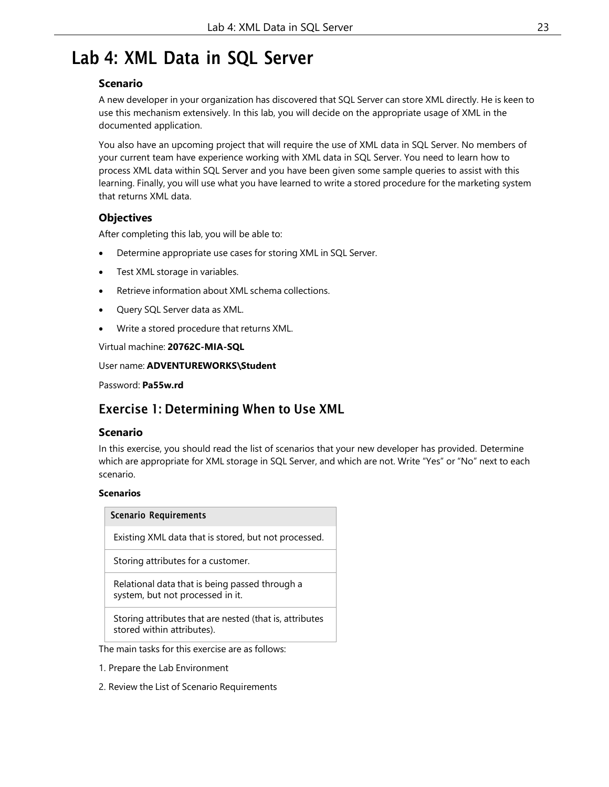## <span id="page-22-0"></span>Lab 4: XML Data in SQL Server

### **Scenario**

A new developer in your organization has discovered that SQL Server can store XML directly. He is keen to use this mechanism extensively. In this lab, you will decide on the appropriate usage of XML in the documented application.

You also have an upcoming project that will require the use of XML data in SQL Server. No members of your current team have experience working with XML data in SQL Server. You need to learn how to process XML data within SQL Server and you have been given some sample queries to assist with this learning. Finally, you will use what you have learned to write a stored procedure for the marketing system that returns XML data.

## **Objectives**

After completing this lab, you will be able to:

- Determine appropriate use cases for storing XML in SQL Server.
- Test XML storage in variables.
- Retrieve information about XML schema collections.
- Query SQL Server data as XML.
- Write a stored procedure that returns XML.

Virtual machine: **20762C-MIA-SQL**

#### User name: **ADVENTUREWORKS\Student**

Password: **Pa55w.rd**

## Exercise 1: Determining When to Use XML

### **Scenario**

In this exercise, you should read the list of scenarios that your new developer has provided. Determine which are appropriate for XML storage in SQL Server, and which are not. Write "Yes" or "No" next to each scenario.

#### **Scenarios**

| <b>Scenario Requirements</b>                                                          |
|---------------------------------------------------------------------------------------|
| Existing XML data that is stored, but not processed.                                  |
| Storing attributes for a customer.                                                    |
| Relational data that is being passed through a<br>system, but not processed in it.    |
| Storing attributes that are nested (that is, attributes<br>stored within attributes). |
| The main tasks for this exercise are as follows:                                      |

- 1. Prepare the Lab Environment
- 2. Review the List of Scenario Requirements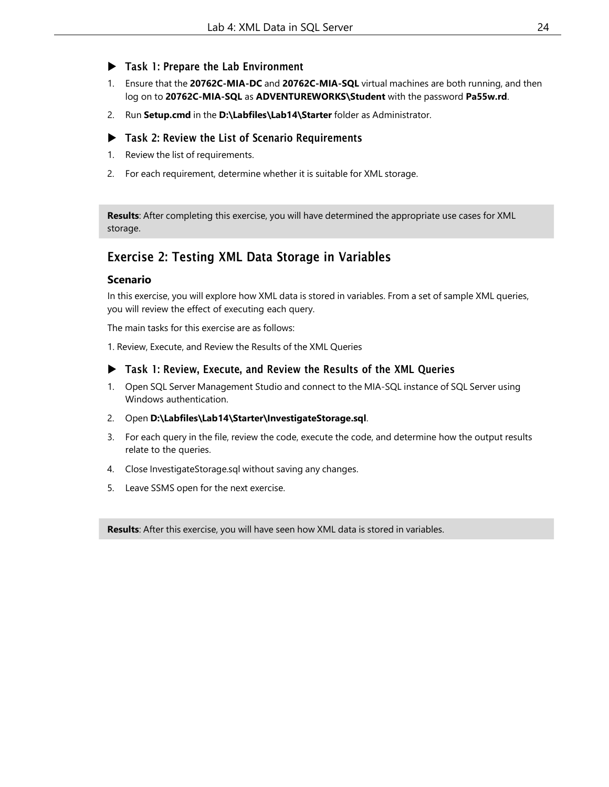## ▶ Task 1: Prepare the Lab Environment

- 1. Ensure that the **20762C-MIA-DC** and **20762C-MIA-SQL** virtual machines are both running, and then log on to **20762C-MIA-SQL** as **ADVENTUREWORKS\Student** with the password **Pa55w.rd**.
- 2. Run **Setup.cmd** in the **D:\Labfiles\Lab14\Starter** folder as Administrator.

## ▶ Task 2: Review the List of Scenario Requirements

- 1. Review the list of requirements.
- 2. For each requirement, determine whether it is suitable for XML storage.

**Results**: After completing this exercise, you will have determined the appropriate use cases for XML storage.

## Exercise 2: Testing XML Data Storage in Variables

### **Scenario**

In this exercise, you will explore how XML data is stored in variables. From a set of sample XML queries, you will review the effect of executing each query.

The main tasks for this exercise are as follows:

1. Review, Execute, and Review the Results of the XML Queries

### Task 1: Review, Execute, and Review the Results of the XML Queries

- 1. Open SQL Server Management Studio and connect to the MIA-SQL instance of SQL Server using Windows authentication.
- 2. Open **D:\Labfiles\Lab14\Starter\InvestigateStorage.sql**.
- 3. For each query in the file, review the code, execute the code, and determine how the output results relate to the queries.
- 4. Close InvestigateStorage.sql without saving any changes.
- 5. Leave SSMS open for the next exercise.

**Results**: After this exercise, you will have seen how XML data is stored in variables.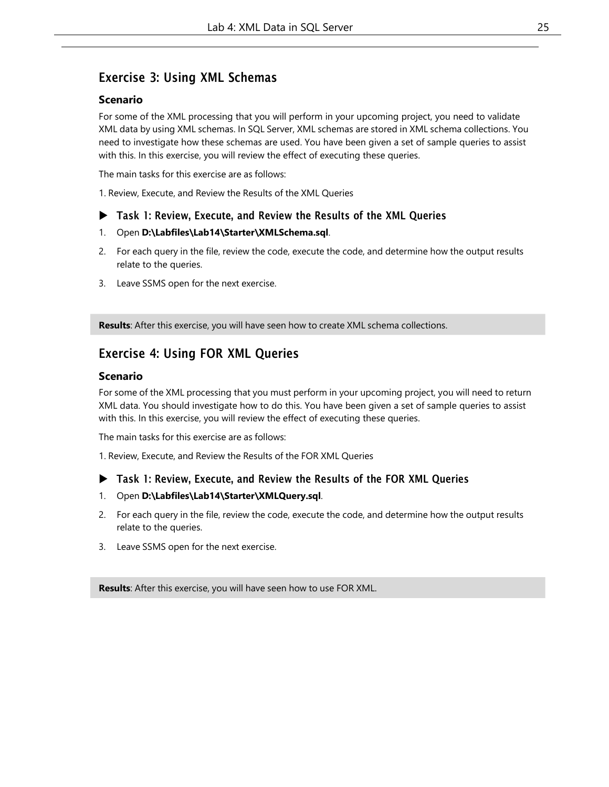## Exercise 3: Using XML Schemas

## **Scenario**

For some of the XML processing that you will perform in your upcoming project, you need to validate XML data by using XML schemas. In SQL Server, XML schemas are stored in XML schema collections. You need to investigate how these schemas are used. You have been given a set of sample queries to assist with this. In this exercise, you will review the effect of executing these queries.

The main tasks for this exercise are as follows:

1. Review, Execute, and Review the Results of the XML Queries

- Task 1: Review, Execute, and Review the Results of the XML Queries
- 1. Open **D:\Labfiles\Lab14\Starter\XMLSchema.sql**.
- 2. For each query in the file, review the code, execute the code, and determine how the output results relate to the queries.
- 3. Leave SSMS open for the next exercise.

**Results**: After this exercise, you will have seen how to create XML schema collections.

## Exercise 4: Using FOR XML Queries

## **Scenario**

For some of the XML processing that you must perform in your upcoming project, you will need to return XML data. You should investigate how to do this. You have been given a set of sample queries to assist with this. In this exercise, you will review the effect of executing these queries.

The main tasks for this exercise are as follows:

1. Review, Execute, and Review the Results of the FOR XML Queries

- Task 1: Review, Execute, and Review the Results of the FOR XML Queries
- 1. Open **D:\Labfiles\Lab14\Starter\XMLQuery.sql**.
- 2. For each query in the file, review the code, execute the code, and determine how the output results relate to the queries.
- 3. Leave SSMS open for the next exercise.

**Results**: After this exercise, you will have seen how to use FOR XML.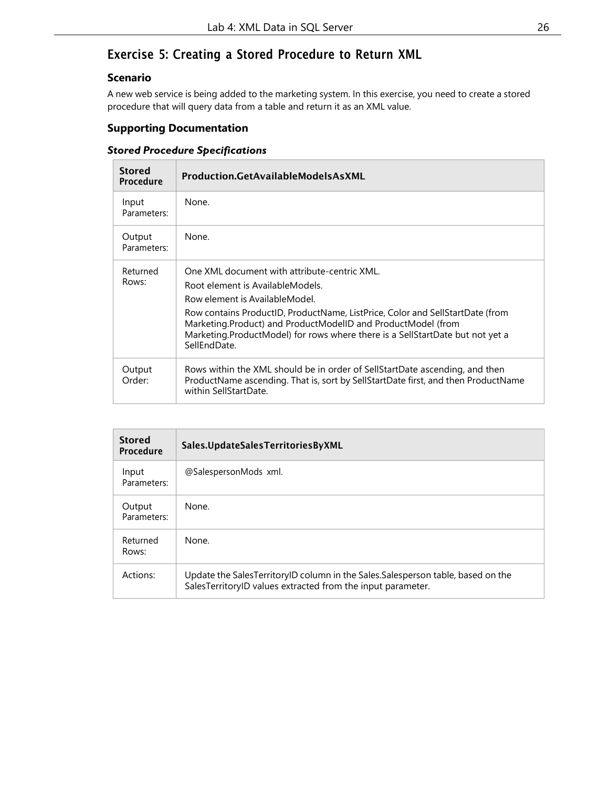## Exercise 5: Creating a Stored Procedure to Return XML

## **Scenario**

A new web service is being added to the marketing system. In this exercise, you need to create a stored procedure that will query data from a table and return it as an XML value.

## **Supporting Documentation**

### *Stored Procedure Specifications*

| <b>Stored</b><br>Procedure | Production.GetAvailableModelsAsXML                                                                                                                                                                                                                                                                                                                                    |
|----------------------------|-----------------------------------------------------------------------------------------------------------------------------------------------------------------------------------------------------------------------------------------------------------------------------------------------------------------------------------------------------------------------|
| Input<br>Parameters:       | None.                                                                                                                                                                                                                                                                                                                                                                 |
| Output<br>Parameters:      | None.                                                                                                                                                                                                                                                                                                                                                                 |
| Returned<br>Rows:          | One XML document with attribute-centric XML.<br>Root element is AvailableModels.<br>Row element is AvailableModel.<br>Row contains ProductID, ProductName, ListPrice, Color and SellStartDate (from<br>Marketing.Product) and ProductModelID and ProductModel (from<br>Marketing. ProductModel) for rows where there is a SellStartDate but not yet a<br>SellEndDate. |
| Output<br>Order:           | Rows within the XML should be in order of SellStartDate ascending, and then<br>ProductName ascending. That is, sort by SellStartDate first, and then ProductName<br>within SellStartDate.                                                                                                                                                                             |

| <b>Stored</b><br>Procedure | Sales.UpdateSalesTerritoriesByXML                                                                                                              |
|----------------------------|------------------------------------------------------------------------------------------------------------------------------------------------|
| Input<br>Parameters:       | @SalespersonMods xml.                                                                                                                          |
| Output<br>Parameters:      | None.                                                                                                                                          |
| Returned<br>Rows:          | None.                                                                                                                                          |
| Actions:                   | Update the SalesTerritoryID column in the Sales.Salesperson table, based on the<br>SalesTerritoryID values extracted from the input parameter. |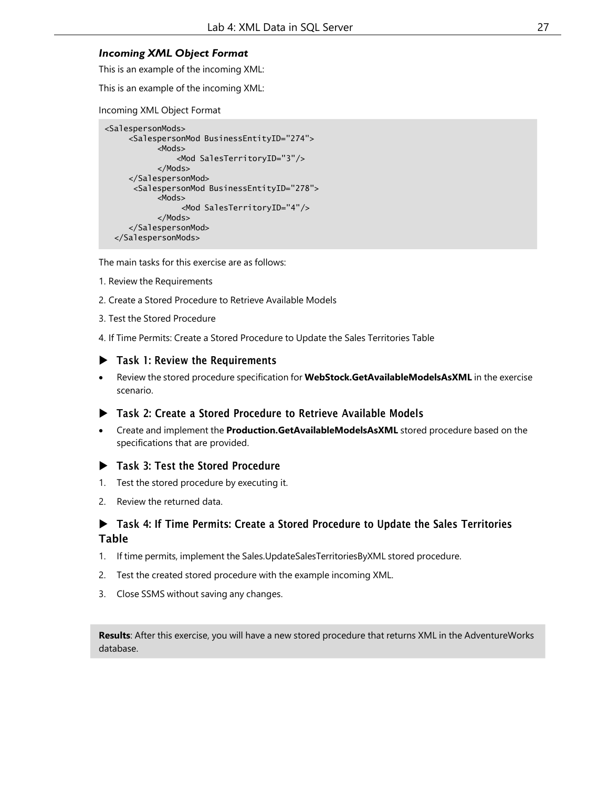## *Incoming XML Object Format*

This is an example of the incoming XML:

This is an example of the incoming XML:

#### Incoming XML Object Format

```
<SalespersonMods>
    <SalespersonMod BusinessEntityID="274">
          <Mods>
              <Mod SalesTerritoryID="3"/>
          </Mods>
    </SalespersonMod>
     <SalespersonMod BusinessEntityID="278">
           <Mods>
                <Mod SalesTerritoryID="4"/>
           </Mods>
     </SalespersonMod>
 </SalespersonMods>
```
The main tasks for this exercise are as follows:

- 1. Review the Requirements
- 2. Create a Stored Procedure to Retrieve Available Models
- 3. Test the Stored Procedure
- 4. If Time Permits: Create a Stored Procedure to Update the Sales Territories Table

## $\blacktriangleright$  Task 1: Review the Requirements

• Review the stored procedure specification for **WebStock.GetAvailableModelsAsXML** in the exercise scenario.

### Task 2: Create a Stored Procedure to Retrieve Available Models

• Create and implement the **Production.GetAvailableModelsAsXML** stored procedure based on the specifications that are provided.

## ▶ Task 3: Test the Stored Procedure

- 1. Test the stored procedure by executing it.
- 2. Review the returned data.

## Task 4: If Time Permits: Create a Stored Procedure to Update the Sales Territories Table

- 1. If time permits, implement the Sales.UpdateSalesTerritoriesByXML stored procedure.
- 2. Test the created stored procedure with the example incoming XML.
- 3. Close SSMS without saving any changes.

**Results**: After this exercise, you will have a new stored procedure that returns XML in the AdventureWorks database.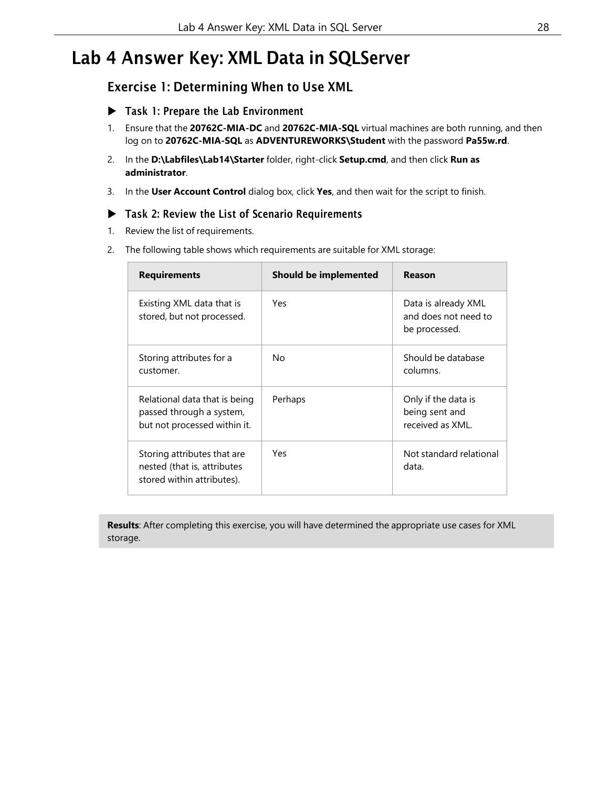## <span id="page-27-0"></span>Lab 4 Answer Key: XML Data in SQLServer

## Exercise 1: Determining When to Use XML

- Task 1: Prepare the Lab Environment
- 1. Ensure that the **20762C-MIA-DC** and **20762C-MIA-SQL** virtual machines are both running, and then log on to **20762C-MIA-SQL** as **ADVENTUREWORKS\Student** with the password **Pa55w.rd**.
- 2. In the **D:\Labfiles\Lab14\Starter** folder, right-click **Setup.cmd**, and then click **Run as administrator**.
- 3. In the **User Account Control** dialog box, click **Yes**, and then wait for the script to finish.

## ▶ Task 2: Review the List of Scenario Requirements

- 1. Review the list of requirements.
- 2. The following table shows which requirements are suitable for XML storage:

| <b>Requirements</b>                                                                       | <b>Should be implemented</b> | Reason                                                       |
|-------------------------------------------------------------------------------------------|------------------------------|--------------------------------------------------------------|
| Existing XML data that is<br>stored, but not processed.                                   | Yes                          | Data is already XML<br>and does not need to<br>be processed. |
| Storing attributes for a<br>customer.                                                     | No.                          | Should be database<br>columns.                               |
| Relational data that is being<br>passed through a system,<br>but not processed within it. | Perhaps                      | Only if the data is<br>being sent and<br>received as XML.    |
| Storing attributes that are<br>nested (that is, attributes<br>stored within attributes).  | Yes                          | Not standard relational<br>data.                             |

**Results**: After completing this exercise, you will have determined the appropriate use cases for XML storage.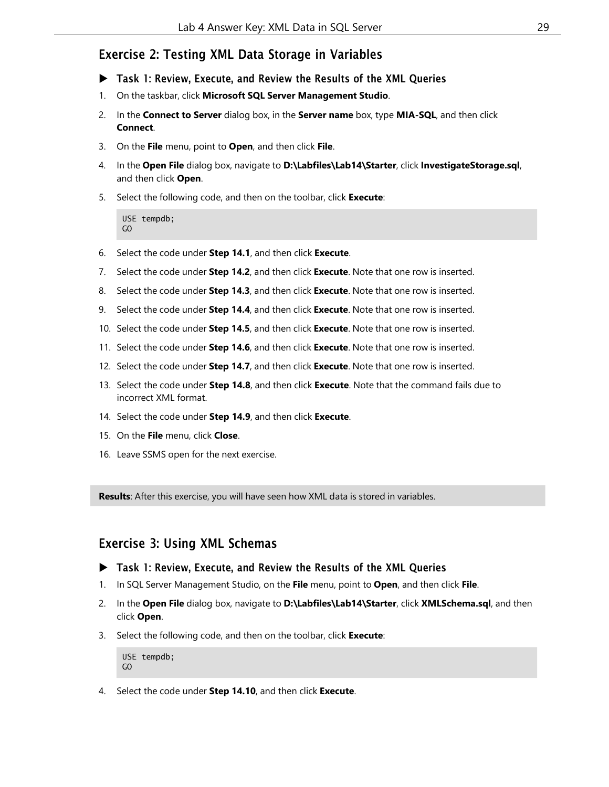## Exercise 2: Testing XML Data Storage in Variables

- Task 1: Review, Execute, and Review the Results of the XML Queries
- 1. On the taskbar, click **Microsoft SQL Server Management Studio**.
- 2. In the **Connect to Server** dialog box, in the **Server name** box, type **MIA-SQL**, and then click **Connect**.
- 3. On the **File** menu, point to **Open**, and then click **File**.
- 4. In the **Open File** dialog box, navigate to **D:\Labfiles\Lab14\Starter**, click **InvestigateStorage.sql**, and then click **Open**.
- 5. Select the following code, and then on the toolbar, click **Execute**:

```
USE tempdb;
GO
```
- 6. Select the code under **Step 14.1**, and then click **Execute**.
- 7. Select the code under **Step 14.2**, and then click **Execute**. Note that one row is inserted.
- 8. Select the code under **Step 14.3**, and then click **Execute**. Note that one row is inserted.
- 9. Select the code under **Step 14.4**, and then click **Execute**. Note that one row is inserted.
- 10. Select the code under **Step 14.5**, and then click **Execute**. Note that one row is inserted.
- 11. Select the code under **Step 14.6**, and then click **Execute**. Note that one row is inserted.
- 12. Select the code under **Step 14.7**, and then click **Execute**. Note that one row is inserted.
- 13. Select the code under **Step 14.8**, and then click **Execute**. Note that the command fails due to incorrect XML format.
- 14. Select the code under **Step 14.9**, and then click **Execute**.
- 15. On the **File** menu, click **Close**.
- 16. Leave SSMS open for the next exercise.

**Results**: After this exercise, you will have seen how XML data is stored in variables.

## Exercise 3: Using XML Schemas

### Task 1: Review, Execute, and Review the Results of the XML Queries

- 1. In SQL Server Management Studio, on the **File** menu, point to **Open**, and then click **File**.
- 2. In the **Open File** dialog box, navigate to **D:\Labfiles\Lab14\Starter**, click **XMLSchema.sql**, and then click **Open**.
- 3. Select the following code, and then on the toolbar, click **Execute**:

```
USE tempdb;
GO
```
4. Select the code under **Step 14.10**, and then click **Execute**.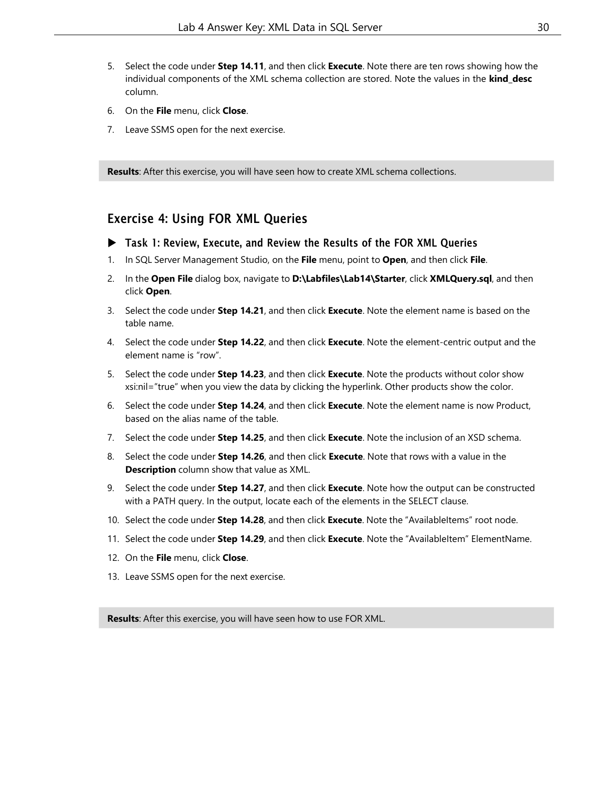- 5. Select the code under **Step 14.11**, and then click **Execute**. Note there are ten rows showing how the individual components of the XML schema collection are stored. Note the values in the **kind\_desc** column.
- 6. On the **File** menu, click **Close**.
- 7. Leave SSMS open for the next exercise.

**Results**: After this exercise, you will have seen how to create XML schema collections.

## Exercise 4: Using FOR XML Queries

- Task 1: Review, Execute, and Review the Results of the FOR XML Queries
- 1. In SQL Server Management Studio, on the **File** menu, point to **Open**, and then click **File**.
- 2. In the **Open File** dialog box, navigate to **D:\Labfiles\Lab14\Starter**, click **XMLQuery.sql**, and then click **Open**.
- 3. Select the code under **Step 14.21**, and then click **Execute**. Note the element name is based on the table name.
- 4. Select the code under **Step 14.22**, and then click **Execute**. Note the element-centric output and the element name is "row".
- 5. Select the code under **Step 14.23**, and then click **Execute**. Note the products without color show xsi:nil="true" when you view the data by clicking the hyperlink. Other products show the color.
- 6. Select the code under **Step 14.24**, and then click **Execute**. Note the element name is now Product, based on the alias name of the table.
- 7. Select the code under **Step 14.25**, and then click **Execute**. Note the inclusion of an XSD schema.
- 8. Select the code under **Step 14.26**, and then click **Execute**. Note that rows with a value in the **Description** column show that value as XML.
- 9. Select the code under **Step 14.27**, and then click **Execute**. Note how the output can be constructed with a PATH query. In the output, locate each of the elements in the SELECT clause.
- 10. Select the code under **Step 14.28**, and then click **Execute**. Note the "AvailableItems" root node.
- 11. Select the code under **Step 14.29**, and then click **Execute**. Note the "AvailableItem" ElementName.
- 12. On the **File** menu, click **Close**.
- 13. Leave SSMS open for the next exercise.

**Results**: After this exercise, you will have seen how to use FOR XML.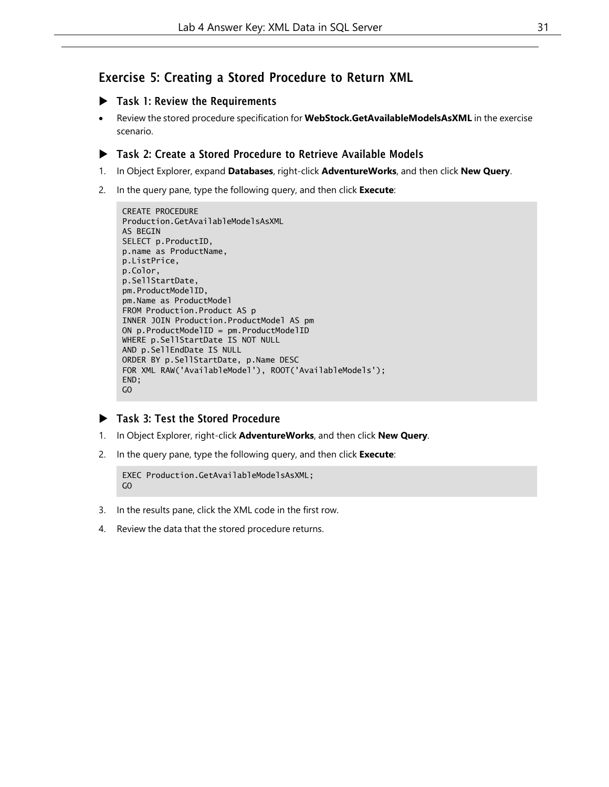## Exercise 5: Creating a Stored Procedure to Return XML

- Task 1: Review the Requirements
- Review the stored procedure specification for **WebStock.GetAvailableModelsAsXML** in the exercise scenario.
- ▶ Task 2: Create a Stored Procedure to Retrieve Available Models
- 1. In Object Explorer, expand **Databases**, right-click **AdventureWorks**, and then click **New Query**.
- 2. In the query pane, type the following query, and then click **Execute**:

```
CREATE PROCEDURE
Production.GetAvailableModelsAsXML
AS BEGIN
SELECT p.ProductID,
p.name as ProductName,
p.ListPrice,
p.Color,
p.SellStartDate,
pm.ProductModelID,
pm.Name as ProductModel
FROM Production.Product AS p
INNER JOIN Production.ProductModel AS pm
ON p.ProductModelID = pm.ProductModelID
WHERE p.SellStartDate IS NOT NULL
AND p.SellEndDate IS NULL
ORDER BY p.SellStartDate, p.Name DESC
FOR XML RAW('AvailableModel'), ROOT('AvailableModels');
END;
GO
```
### ▶ Task 3: Test the Stored Procedure

- 1. In Object Explorer, right-click **AdventureWorks**, and then click **New Query**.
- 2. In the query pane, type the following query, and then click **Execute**:

```
EXEC Production.GetAvailableModelsAsXML;
GO
```
- 3. In the results pane, click the XML code in the first row.
- 4. Review the data that the stored procedure returns.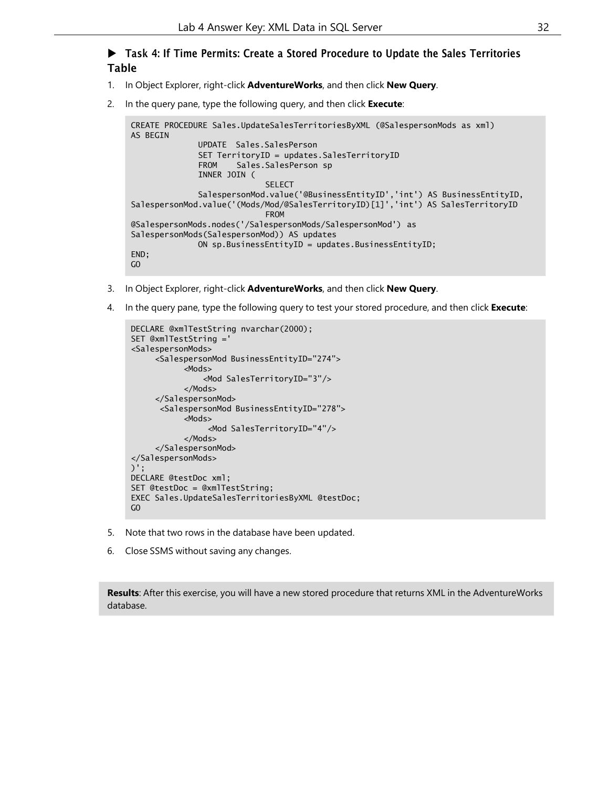## Task 4: If Time Permits: Create a Stored Procedure to Update the Sales Territories Table

- 1. In Object Explorer, right-click **AdventureWorks**, and then click **New Query**.
- 2. In the query pane, type the following query, and then click **Execute**:

```
CREATE PROCEDURE Sales.UpdateSalesTerritoriesByXML (@SalespersonMods as xml)
AS BEGIN
              UPDATE Sales.SalesPerson
              SET TerritoryID = updates.SalesTerritoryID
              FROM Sales.SalesPerson sp
              INNER JOIN (
                            SELECT
              SalespersonMod.value('@BusinessEntityID','int') AS BusinessEntityID,
SalespersonMod.value('(Mods/Mod/@SalesTerritoryID)[1]','int') AS SalesTerritoryID
                            FROM
@SalespersonMods.nodes('/SalespersonMods/SalespersonMod') as
SalespersonMods(SalespersonMod)) AS updates
              ON sp.BusinessEntityID = updates.BusinessEntityID;
END;
GO
```
- 3. In Object Explorer, right-click **AdventureWorks**, and then click **New Query**.
- 4. In the query pane, type the following query to test your stored procedure, and then click **Execute**:

```
DECLARE @xmlTestString nvarchar(2000);
SET @xmlTestString ='
<SalespersonMods>
     <SalespersonMod BusinessEntityID="274">
           <Mods>
               <Mod SalesTerritoryID="3"/>
           </Mods>
     </SalespersonMod>
      <SalespersonMod BusinessEntityID="278">
           <Mods>
                 <Mod SalesTerritoryID="4"/>
           </Mods>
     </SalespersonMod>
</SalespersonMods>
)';
DECLARE @testDoc xml;
SET @testDoc = @xmlTestString;
EXEC Sales.UpdateSalesTerritoriesByXML @testDoc;
GO
```
- 5. Note that two rows in the database have been updated.
- 6. Close SSMS without saving any changes.

**Results**: After this exercise, you will have a new stored procedure that returns XML in the AdventureWorks database.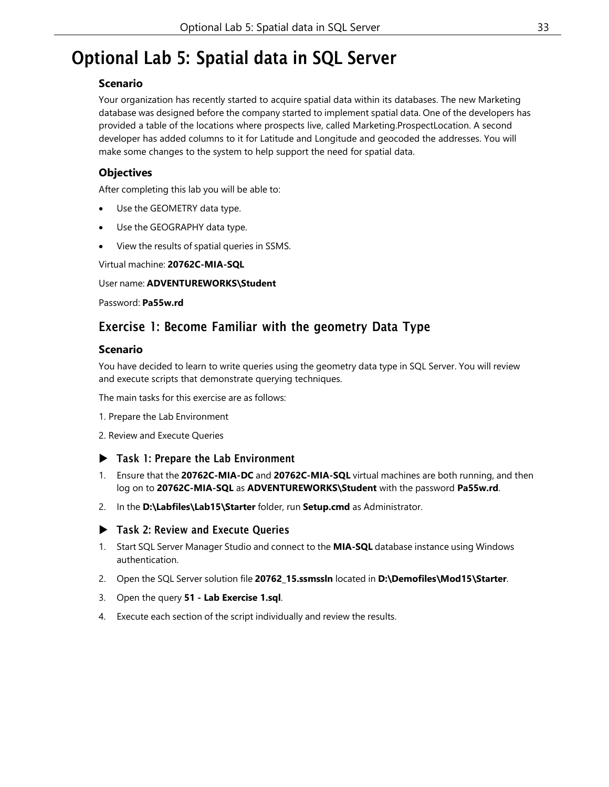## <span id="page-32-0"></span>Optional Lab 5: Spatial data in SQL Server

## **Scenario**

Your organization has recently started to acquire spatial data within its databases. The new Marketing database was designed before the company started to implement spatial data. One of the developers has provided a table of the locations where prospects live, called Marketing.ProspectLocation. A second developer has added columns to it for Latitude and Longitude and geocoded the addresses. You will make some changes to the system to help support the need for spatial data.

## **Objectives**

After completing this lab you will be able to:

- Use the GEOMETRY data type.
- Use the GEOGRAPHY data type.
- View the results of spatial queries in SSMS.

Virtual machine: **20762C-MIA-SQL**

## User name: **ADVENTUREWORKS\Student**

Password: **Pa55w.rd**

## Exercise 1: Become Familiar with the geometry Data Type

## **Scenario**

You have decided to learn to write queries using the geometry data type in SQL Server. You will review and execute scripts that demonstrate querying techniques.

The main tasks for this exercise are as follows:

- 1. Prepare the Lab Environment
- 2. Review and Execute Queries
- ▶ Task 1: Prepare the Lab Environment
- 1. Ensure that the **20762C-MIA-DC** and **20762C-MIA-SQL** virtual machines are both running, and then log on to **20762C-MIA-SQL** as **ADVENTUREWORKS\Student** with the password **Pa55w.rd**.
- 2. In the **D:\Labfiles\Lab15\Starter** folder, run **Setup.cmd** as Administrator.

## ▶ Task 2: Review and Execute Queries

- 1. Start SQL Server Manager Studio and connect to the **MIA-SQL** database instance using Windows authentication.
- 2. Open the SQL Server solution file **20762\_15.ssmssln** located in **D:\Demofiles\Mod15\Starter**.
- 3. Open the query **51 - Lab Exercise 1.sql**.
- 4. Execute each section of the script individually and review the results.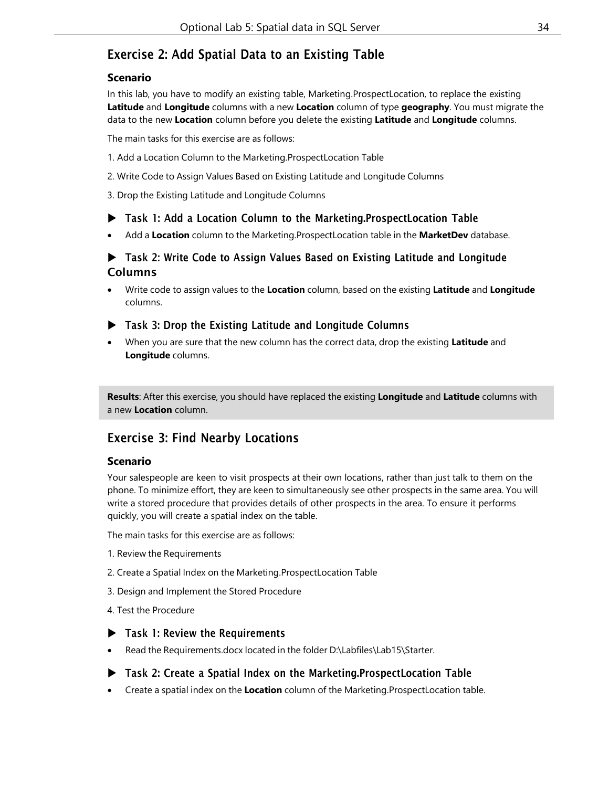## Exercise 2: Add Spatial Data to an Existing Table

## **Scenario**

In this lab, you have to modify an existing table, Marketing.ProspectLocation, to replace the existing **Latitude** and **Longitude** columns with a new **Location** column of type **geography**. You must migrate the data to the new **Location** column before you delete the existing **Latitude** and **Longitude** columns.

The main tasks for this exercise are as follows:

- 1. Add a Location Column to the Marketing.ProspectLocation Table
- 2. Write Code to Assign Values Based on Existing Latitude and Longitude Columns
- 3. Drop the Existing Latitude and Longitude Columns

## Task 1: Add a Location Column to the Marketing.ProspectLocation Table

• Add a **Location** column to the Marketing.ProspectLocation table in the **MarketDev** database.

## Task 2: Write Code to Assign Values Based on Existing Latitude and Longitude Columns

- Write code to assign values to the **Location** column, based on the existing **Latitude** and **Longitude** columns.
- Task 3: Drop the Existing Latitude and Longitude Columns
- When you are sure that the new column has the correct data, drop the existing **Latitude** and **Longitude** columns.

**Results**: After this exercise, you should have replaced the existing **Longitude** and **Latitude** columns with a new **Location** column.

## Exercise 3: Find Nearby Locations

## **Scenario**

Your salespeople are keen to visit prospects at their own locations, rather than just talk to them on the phone. To minimize effort, they are keen to simultaneously see other prospects in the same area. You will write a stored procedure that provides details of other prospects in the area. To ensure it performs quickly, you will create a spatial index on the table.

The main tasks for this exercise are as follows:

- 1. Review the Requirements
- 2. Create a Spatial Index on the Marketing.ProspectLocation Table
- 3. Design and Implement the Stored Procedure
- 4. Test the Procedure

### Task 1: Review the Requirements

- Read the Requirements.docx located in the folder D:\Labfiles\Lab15\Starter.
- Task 2: Create a Spatial Index on the Marketing.ProspectLocation Table
- Create a spatial index on the **Location** column of the Marketing.ProspectLocation table.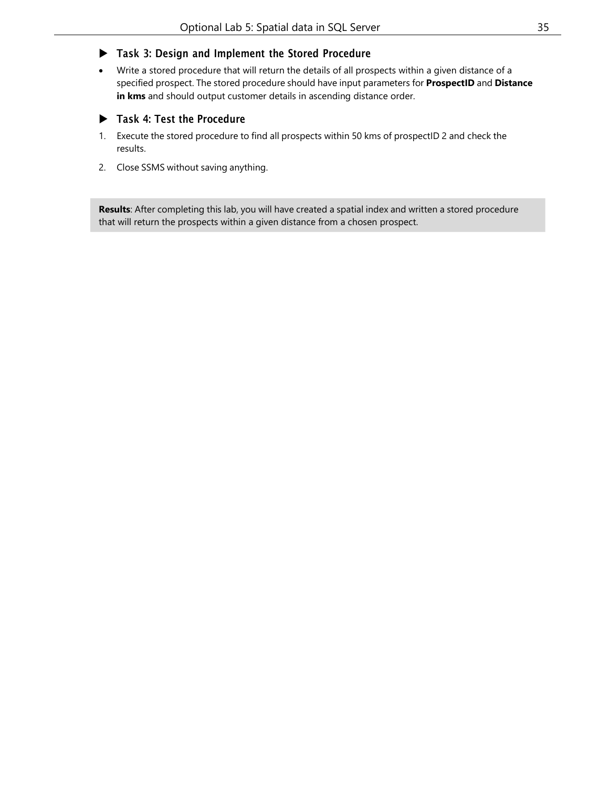## Task 3: Design and Implement the Stored Procedure

• Write a stored procedure that will return the details of all prospects within a given distance of a specified prospect. The stored procedure should have input parameters for **ProspectID** and **Distance in kms** and should output customer details in ascending distance order.

## Task 4: Test the Procedure

- 1. Execute the stored procedure to find all prospects within 50 kms of prospectID 2 and check the results.
- 2. Close SSMS without saving anything.

**Results**: After completing this lab, you will have created a spatial index and written a stored procedure that will return the prospects within a given distance from a chosen prospect.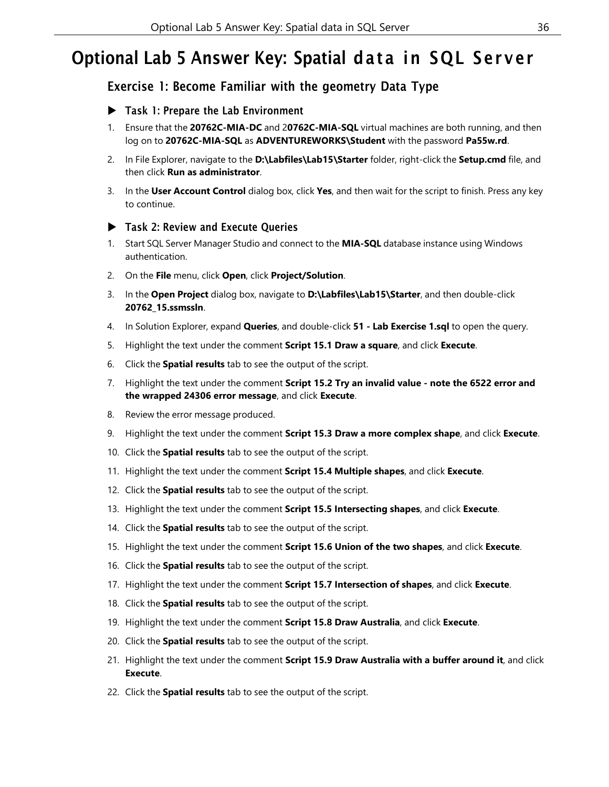## <span id="page-35-0"></span>Optional Lab 5 Answer Key: Spatial data in SQL Server

## Exercise 1: Become Familiar with the geometry Data Type

## Task 1: Prepare the Lab Environment

- 1. Ensure that the **20762C-MIA-DC** and 2**0762C-MIA-SQL** virtual machines are both running, and then log on to **20762C-MIA-SQL** as **ADVENTUREWORKS\Student** with the password **Pa55w.rd**.
- 2. In File Explorer, navigate to the **D:\Labfiles\Lab15\Starter** folder, right-click the **Setup.cmd** file, and then click **Run as administrator**.
- 3. In the **User Account Control** dialog box, click **Yes**, and then wait for the script to finish. Press any key to continue.

### ▶ Task 2: Review and Execute Queries

- 1. Start SQL Server Manager Studio and connect to the **MIA-SQL** database instance using Windows authentication.
- 2. On the **File** menu, click **Open**, click **Project/Solution**.
- 3. In the **Open Project** dialog box, navigate to **D:\Labfiles\Lab15\Starter**, and then double-click **20762\_15.ssmssln**.
- 4. In Solution Explorer, expand **Queries**, and double-click **51 - Lab Exercise 1.sql** to open the query.
- 5. Highlight the text under the comment **Script 15.1 Draw a square**, and click **Execute**.
- 6. Click the **Spatial results** tab to see the output of the script.
- 7. Highlight the text under the comment **Script 15.2 Try an invalid value - note the 6522 error and the wrapped 24306 error message**, and click **Execute**.
- 8. Review the error message produced.
- 9. Highlight the text under the comment **Script 15.3 Draw a more complex shape**, and click **Execute**.
- 10. Click the **Spatial results** tab to see the output of the script.
- 11. Highlight the text under the comment **Script 15.4 Multiple shapes**, and click **Execute**.
- 12. Click the **Spatial results** tab to see the output of the script.
- 13. Highlight the text under the comment **Script 15.5 Intersecting shapes**, and click **Execute**.
- 14. Click the **Spatial results** tab to see the output of the script.
- 15. Highlight the text under the comment **Script 15.6 Union of the two shapes**, and click **Execute**.
- 16. Click the **Spatial results** tab to see the output of the script.
- 17. Highlight the text under the comment **Script 15.7 Intersection of shapes**, and click **Execute**.
- 18. Click the **Spatial results** tab to see the output of the script.
- 19. Highlight the text under the comment **Script 15.8 Draw Australia**, and click **Execute**.
- 20. Click the **Spatial results** tab to see the output of the script.
- 21. Highlight the text under the comment **Script 15.9 Draw Australia with a buffer around it**, and click **Execute**.
- 22. Click the **Spatial results** tab to see the output of the script.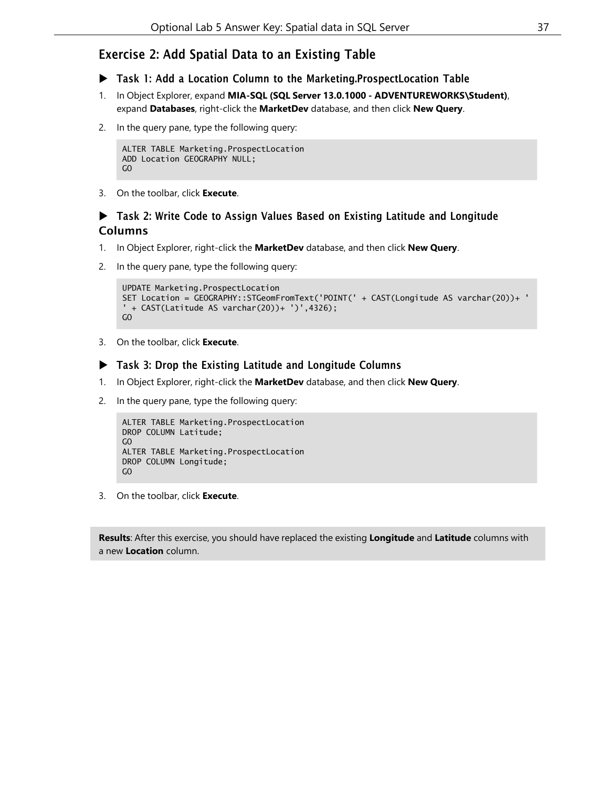## Exercise 2: Add Spatial Data to an Existing Table

- Task 1: Add a Location Column to the Marketing.ProspectLocation Table
- 1. In Object Explorer, expand **MIA-SQL (SQL Server 13.0.1000 - ADVENTUREWORKS\Student)**, expand **Databases**, right-click the **MarketDev** database, and then click **New Query**.
- 2. In the query pane, type the following query:

```
ALTER TABLE Marketing.ProspectLocation
ADD Location GEOGRAPHY NULL;
GO
```
3. On the toolbar, click **Execute**.

## Task 2: Write Code to Assign Values Based on Existing Latitude and Longitude Columns

- 1. In Object Explorer, right-click the **MarketDev** database, and then click **New Query**.
- 2. In the query pane, type the following query:

```
UPDATE Marketing.ProspectLocation
SET Location = GEOGRAPHY::STGeomFromText('POINT(' + CAST(Longitude AS varchar(20))+ '
' + CAST(Latitude AS varchar(20))+ ')',4326);
GO
```
3. On the toolbar, click **Execute**.

### ▶ Task 3: Drop the Existing Latitude and Longitude Columns

- 1. In Object Explorer, right-click the **MarketDev** database, and then click **New Query**.
- 2. In the query pane, type the following query:

```
ALTER TABLE Marketing.ProspectLocation
DROP COLUMN Latitude;
GO
ALTER TABLE Marketing.ProspectLocation
DROP COLUMN Longitude;
GO
```
3. On the toolbar, click **Execute**.

**Results**: After this exercise, you should have replaced the existing **Longitude** and **Latitude** columns with a new **Location** column.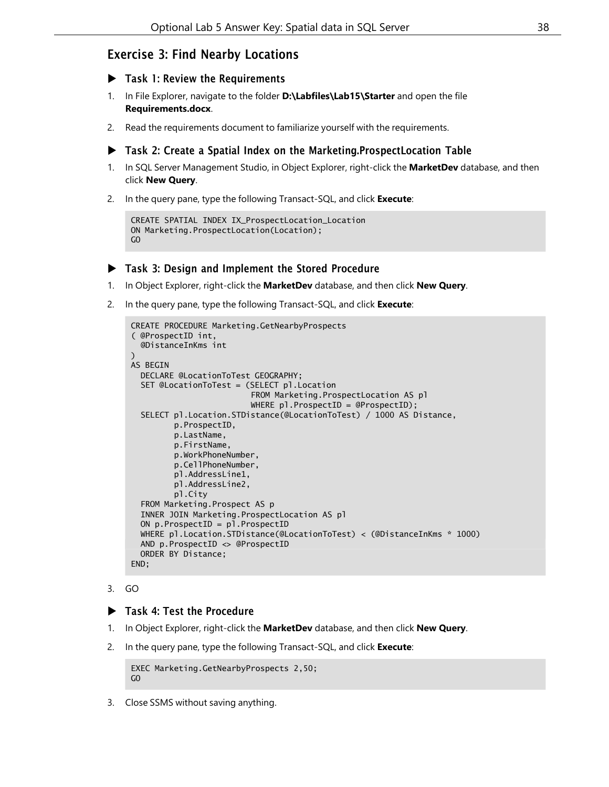## Exercise 3: Find Nearby Locations

- $\blacktriangleright$  Task 1: Review the Requirements
- 1. In File Explorer, navigate to the folder **D:\Labfiles\Lab15\Starter** and open the file **Requirements.docx**.
- 2. Read the requirements document to familiarize yourself with the requirements.
- Task 2: Create a Spatial Index on the Marketing.ProspectLocation Table
- 1. In SQL Server Management Studio, in Object Explorer, right-click the **MarketDev** database, and then click **New Query**.
- 2. In the query pane, type the following Transact-SQL, and click **Execute**:

```
CREATE SPATIAL INDEX IX_ProspectLocation_Location
ON Marketing.ProspectLocation(Location);
GO
```
## Task 3: Design and Implement the Stored Procedure

- 1. In Object Explorer, right-click the **MarketDev** database, and then click **New Query**.
- 2. In the query pane, type the following Transact-SQL, and click **Execute**:

```
CREATE PROCEDURE Marketing.GetNearbyProspects
( @ProspectID int,
  @DistanceInKms int
\lambdaAS BEGIN
  DECLARE @LocationToTest GEOGRAPHY;
  SET @LocationToTest = (SELECT pl.Location
                         FROM Marketing.ProspectLocation AS pl
                         WHERE pl.ProspectID = @ProspectID);
  SELECT pl.Location.STDistance(@LocationToTest) / 1000 AS Distance,
         p.ProspectID,
         p.LastName,
         p.FirstName,
         p.WorkPhoneNumber,
         p.CellPhoneNumber,
         pl.AddressLine1,
         pl.AddressLine2,
         pl.City
  FROM Marketing.Prospect AS p
  INNER JOIN Marketing.ProspectLocation AS pl
  ON p.ProspectID = pl.ProspectID
  WHERE pl.Location.STDistance(@LocationToTest) < (@DistanceInKms * 1000)
  AND p.ProspectID <> @ProspectID
  ORDER BY Distance;
END;
```
3. GO

## Task 4: Test the Procedure

- 1. In Object Explorer, right-click the **MarketDev** database, and then click **New Query**.
- 2. In the query pane, type the following Transact-SQL, and click **Execute**:

```
EXEC Marketing.GetNearbyProspects 2,50;
GO
```
3. Close SSMS without saving anything.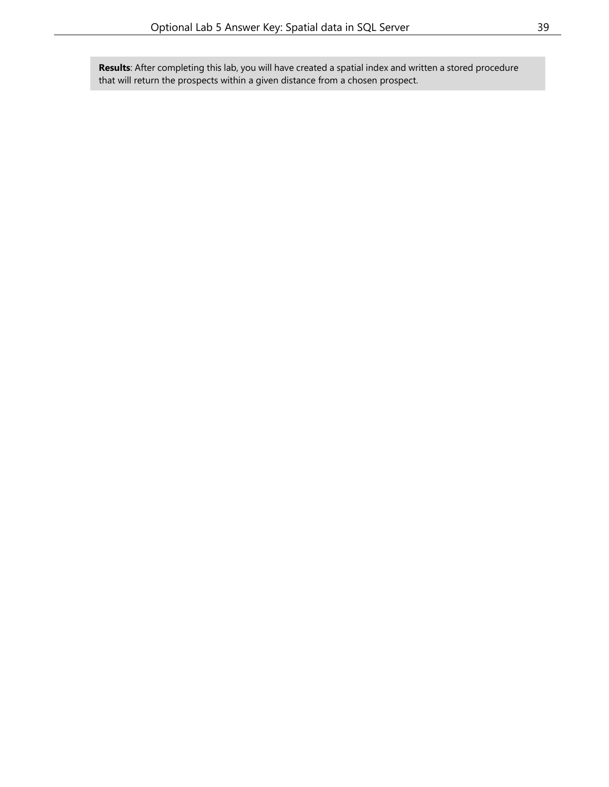**Results**: After completing this lab, you will have created a spatial index and written a stored procedure that will return the prospects within a given distance from a chosen prospect.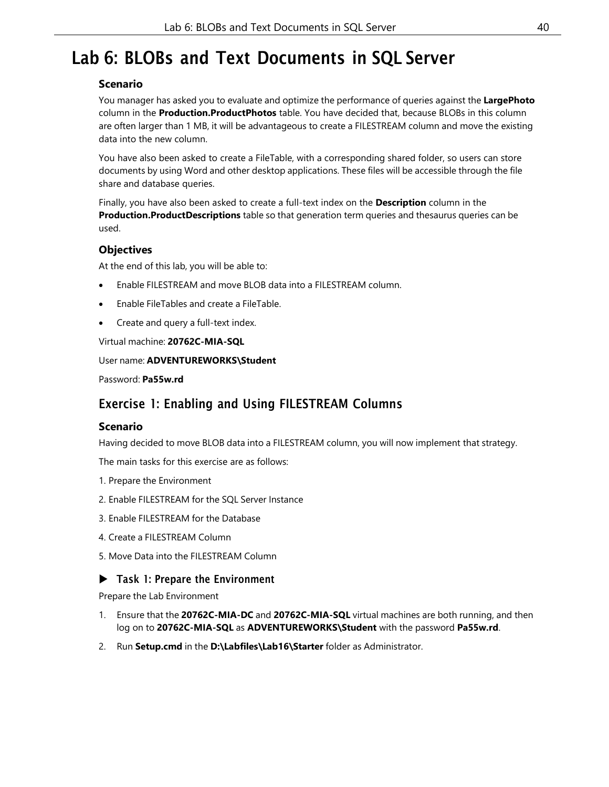## <span id="page-39-0"></span>Lab 6: BLOBs and Text Documents in SQL Server

## **Scenario**

You manager has asked you to evaluate and optimize the performance of queries against the **LargePhoto** column in the **Production.ProductPhotos** table. You have decided that, because BLOBs in this column are often larger than 1 MB, it will be advantageous to create a FILESTREAM column and move the existing data into the new column.

You have also been asked to create a FileTable, with a corresponding shared folder, so users can store documents by using Word and other desktop applications. These files will be accessible through the file share and database queries.

Finally, you have also been asked to create a full-text index on the **Description** column in the **Production.ProductDescriptions** table so that generation term queries and thesaurus queries can be used.

## **Objectives**

At the end of this lab, you will be able to:

- Enable FILESTREAM and move BLOB data into a FILESTREAM column.
- Enable FileTables and create a FileTable.
- Create and query a full-text index.

#### Virtual machine: **20762C-MIA-SQL**

#### User name: **ADVENTUREWORKS\Student**

Password: **Pa55w.rd**

## Exercise 1: Enabling and Using FILESTREAM Columns

### **Scenario**

Having decided to move BLOB data into a FILESTREAM column, you will now implement that strategy.

The main tasks for this exercise are as follows:

- 1. Prepare the Environment
- 2. Enable FILESTREAM for the SQL Server Instance
- 3. Enable FILESTREAM for the Database
- 4. Create a FILESTREAM Column
- 5. Move Data into the FILESTREAM Column

### ▶ Task 1: Prepare the Environment

Prepare the Lab Environment

- 1. Ensure that the **20762C-MIA-DC** and **20762C-MIA-SQL** virtual machines are both running, and then log on to **20762C-MIA-SQL** as **ADVENTUREWORKS\Student** with the password **Pa55w.rd**.
- 2. Run **Setup.cmd** in the **D:\Labfiles\Lab16\Starter** folder as Administrator.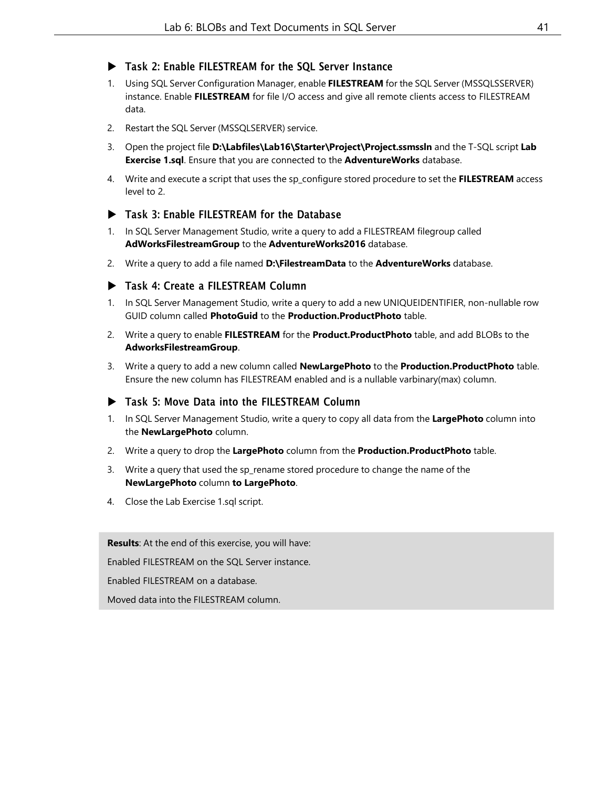### ▶ Task 2: Enable FILESTREAM for the SQL Server Instance

- 1. Using SQL Server Configuration Manager, enable **FILESTREAM** for the SQL Server (MSSQLSSERVER) instance. Enable **FILESTREAM** for file I/O access and give all remote clients access to FILESTREAM data.
- 2. Restart the SQL Server (MSSQLSERVER) service.
- 3. Open the project file **D:\Labfiles\Lab16\Starter\Project\Project.ssmssln** and the T-SQL script **Lab Exercise 1.sql**. Ensure that you are connected to the **AdventureWorks** database.
- 4. Write and execute a script that uses the sp\_configure stored procedure to set the **FILESTREAM** access level to 2.

## ▶ Task 3: Enable FILESTREAM for the Database

- 1. In SQL Server Management Studio, write a query to add a FILESTREAM filegroup called **AdWorksFilestreamGroup** to the **AdventureWorks2016** database.
- 2. Write a query to add a file named **D:\FilestreamData** to the **AdventureWorks** database.

## Task 4: Create a FILESTREAM Column

- 1. In SQL Server Management Studio, write a query to add a new UNIQUEIDENTIFIER, non-nullable row GUID column called **PhotoGuid** to the **Production.ProductPhoto** table.
- 2. Write a query to enable **FILESTREAM** for the **Product.ProductPhoto** table, and add BLOBs to the **AdworksFilestreamGroup**.
- 3. Write a query to add a new column called **NewLargePhoto** to the **Production.ProductPhoto** table. Ensure the new column has FILESTREAM enabled and is a nullable varbinary(max) column.

### Task 5: Move Data into the FILESTREAM Column

- 1. In SQL Server Management Studio, write a query to copy all data from the **LargePhoto** column into the **NewLargePhoto** column.
- 2. Write a query to drop the **LargePhoto** column from the **Production.ProductPhoto** table.
- 3. Write a query that used the sp\_rename stored procedure to change the name of the **NewLargePhoto** column **to LargePhoto**.
- 4. Close the Lab Exercise 1.sql script.

**Results**: At the end of this exercise, you will have:

Enabled FILESTREAM on the SQL Server instance.

Enabled FILESTREAM on a database.

Moved data into the FILESTREAM column.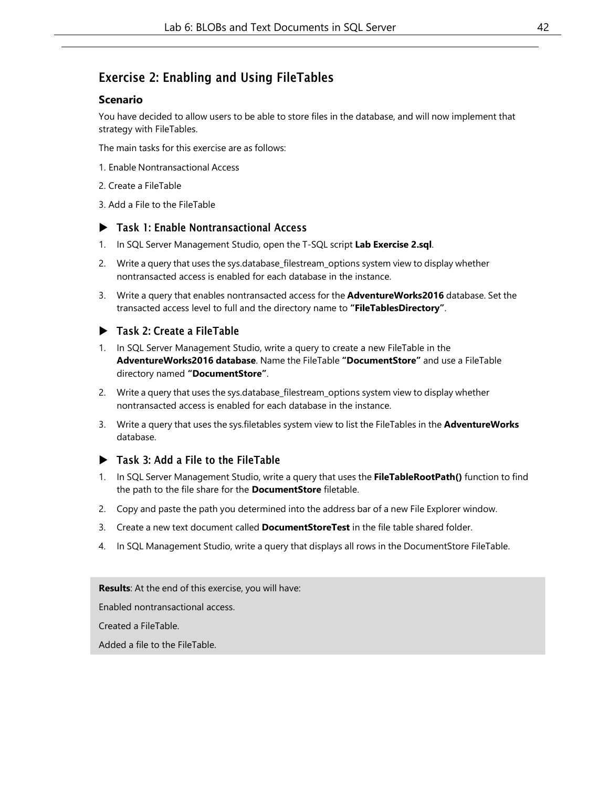## Exercise 2: Enabling and Using FileTables

### **Scenario**

You have decided to allow users to be able to store files in the database, and will now implement that strategy with FileTables.

The main tasks for this exercise are as follows:

- 1. Enable Nontransactional Access
- 2. Create a FileTable
- 3. Add a File to the FileTable

### Task 1: Enable Nontransactional Access

- 1. In SQL Server Management Studio, open the T-SQL script **Lab Exercise 2.sql**.
- 2. Write a query that uses the sys.database\_filestream\_options system view to display whether nontransacted access is enabled for each database in the instance.
- 3. Write a query that enables nontransacted access for the **AdventureWorks2016** database. Set the transacted access level to full and the directory name to **"FileTablesDirectory"**.

## ▶ Task 2: Create a FileTable

- 1. In SQL Server Management Studio, write a query to create a new FileTable in the **AdventureWorks2016 database**. Name the FileTable **"DocumentStore"** and use a FileTable directory named **"DocumentStore"**.
- 2. Write a query that uses the sys.database\_filestream\_options system view to display whether nontransacted access is enabled for each database in the instance.
- 3. Write a query that uses the sys.filetables system view to list the FileTables in the **AdventureWorks** database.

## ▶ Task 3: Add a File to the FileTable

- 1. In SQL Server Management Studio, write a query that uses the **FileTableRootPath()** function to find the path to the file share for the **DocumentStore** filetable.
- 2. Copy and paste the path you determined into the address bar of a new File Explorer window.
- 3. Create a new text document called **DocumentStoreTest** in the file table shared folder.
- 4. In SQL Management Studio, write a query that displays all rows in the DocumentStore FileTable.

**Results**: At the end of this exercise, you will have:

Enabled nontransactional access.

Created a FileTable.

Added a file to the FileTable.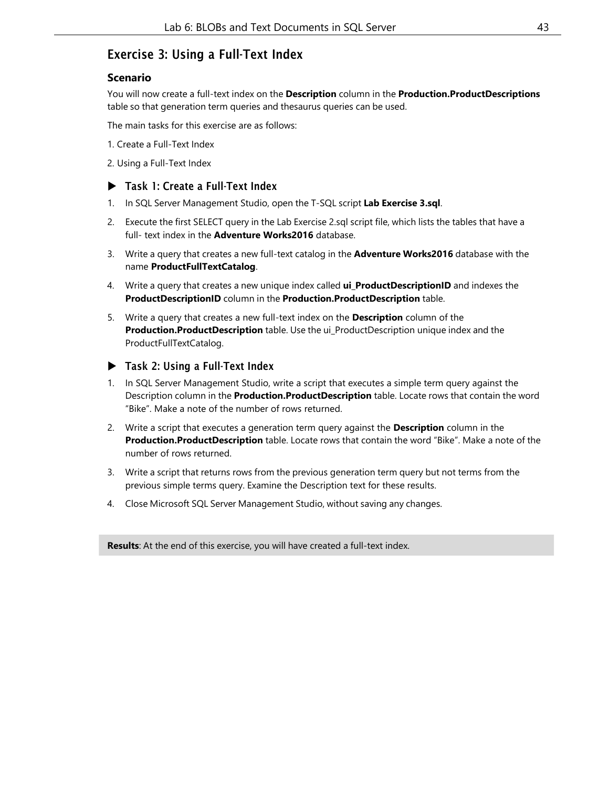## Exercise 3: Using a Full-Text Index

## **Scenario**

You will now create a full-text index on the **Description** column in the **Production.ProductDescriptions** table so that generation term queries and thesaurus queries can be used.

The main tasks for this exercise are as follows:

- 1. Create a Full-Text Index
- 2. Using a Full-Text Index

## Task 1: Create a Full-Text Index

- 1. In SQL Server Management Studio, open the T-SQL script **Lab Exercise 3.sql**.
- 2. Execute the first SELECT query in the Lab Exercise 2.sql script file, which lists the tables that have a full- text index in the **Adventure Works2016** database.
- 3. Write a query that creates a new full-text catalog in the **Adventure Works2016** database with the name **ProductFullTextCatalog**.
- 4. Write a query that creates a new unique index called **ui\_ProductDescriptionID** and indexes the **ProductDescriptionID** column in the **Production.ProductDescription** table.
- 5. Write a query that creates a new full-text index on the **Description** column of the **Production.ProductDescription** table. Use the ui\_ProductDescription unique index and the ProductFullTextCatalog.

## Task 2: Using a Full-Text Index

- 1. In SQL Server Management Studio, write a script that executes a simple term query against the Description column in the **Production.ProductDescription** table. Locate rows that contain the word "Bike". Make a note of the number of rows returned.
- 2. Write a script that executes a generation term query against the **Description** column in the **Production.ProductDescription** table. Locate rows that contain the word "Bike". Make a note of the number of rows returned.
- 3. Write a script that returns rows from the previous generation term query but not terms from the previous simple terms query. Examine the Description text for these results.
- 4. Close Microsoft SQL Server Management Studio, without saving any changes.

**Results**: At the end of this exercise, you will have created a full-text index.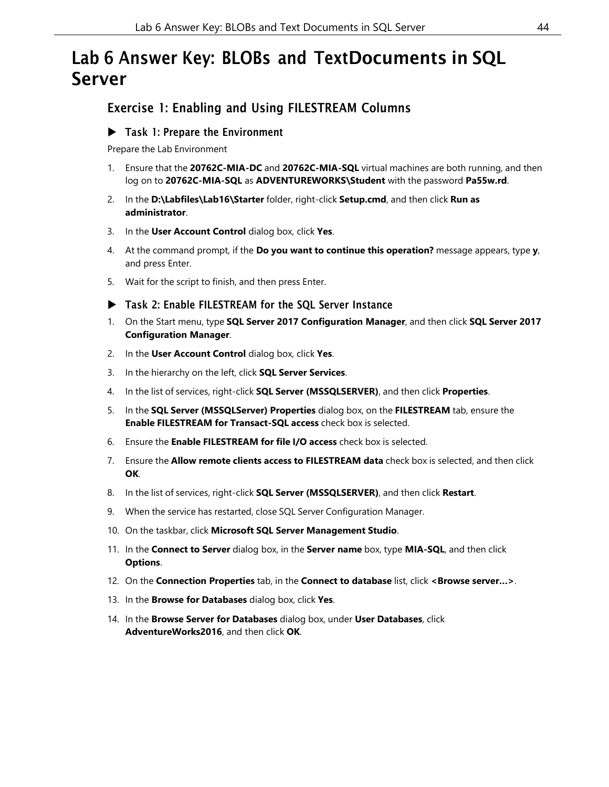## <span id="page-43-0"></span>Lab 6 Answer Key: BLOBs and TextDocuments in SQL Server

## Exercise 1: Enabling and Using FILESTREAM Columns

### ▶ Task 1: Prepare the Environment

Prepare the Lab Environment

- 1. Ensure that the **20762C-MIA-DC** and **20762C-MIA-SQL** virtual machines are both running, and then log on to **20762C-MIA-SQL** as **ADVENTUREWORKS\Student** with the password **Pa55w.rd**.
- 2. In the **D:\Labfiles\Lab16\Starter** folder, right-click **Setup.cmd**, and then click **Run as administrator**.
- 3. In the **User Account Control** dialog box, click **Yes**.
- 4. At the command prompt, if the **Do you want to continue this operation?** message appears, type **y**, and press Enter.
- 5. Wait for the script to finish, and then press Enter.
- ▶ Task 2: Enable FILESTREAM for the SQL Server Instance
- 1. On the Start menu, type **SQL Server 2017 Configuration Manager**, and then click **SQL Server 2017 Configuration Manager**.
- 2. In the **User Account Control** dialog box, click **Yes**.
- 3. In the hierarchy on the left, click **SQL Server Services**.
- 4. In the list of services, right-click **SQL Server (MSSQLSERVER)**, and then click **Properties**.
- 5. In the **SQL Server (MSSQLServer) Properties** dialog box, on the **FILESTREAM** tab, ensure the **Enable FILESTREAM for Transact-SQL access** check box is selected.
- 6. Ensure the **Enable FILESTREAM for file I/O access** check box is selected.
- 7. Ensure the **Allow remote clients access to FILESTREAM data** check box is selected, and then click **OK**.
- 8. In the list of services, right-click **SQL Server (MSSQLSERVER)**, and then click **Restart**.
- 9. When the service has restarted, close SQL Server Configuration Manager.
- 10. On the taskbar, click **Microsoft SQL Server Management Studio**.
- 11. In the **Connect to Server** dialog box, in the **Server name** box, type **MIA-SQL**, and then click **Options**.
- 12. On the **Connection Properties** tab, in the **Connect to database** list, click **<Browse server…>**.
- 13. In the **Browse for Databases** dialog box, click **Yes**.
- 14. In the **Browse Server for Databases** dialog box, under **User Databases**, click **AdventureWorks2016**, and then click **OK**.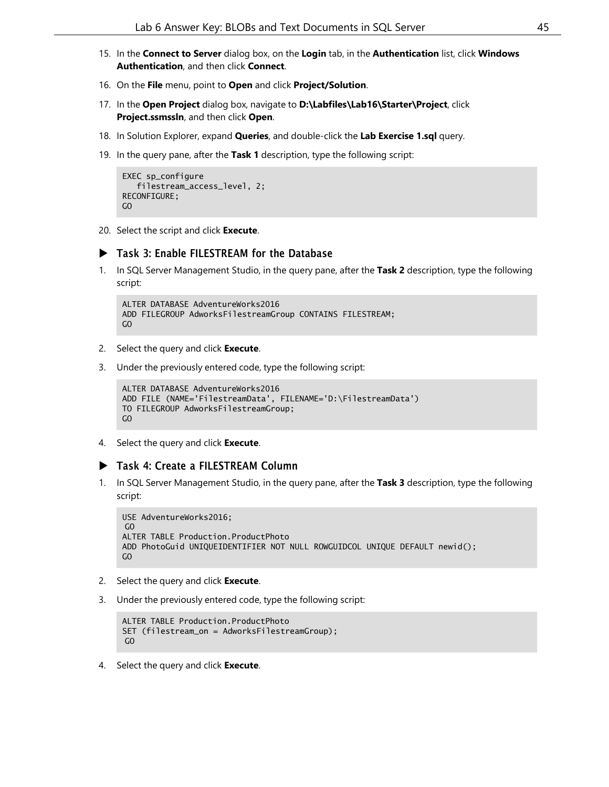- 15. In the **Connect to Server** dialog box, on the **Login** tab, in the **Authentication** list, click **Windows Authentication**, and then click **Connect**.
- 16. On the **File** menu, point to **Open** and click **Project/Solution**.
- 17. In the **Open Project** dialog box, navigate to **D:\Labfiles\Lab16\Starter\Project**, click **Project.ssmssln**, and then click **Open**.
- 18. In Solution Explorer, expand **Queries**, and double-click the **Lab Exercise 1.sql** query.
- 19. In the query pane, after the **Task 1** description, type the following script:

```
EXEC sp_configure
   filestream_access_level, 2;
RECONFIGURE;
GO
```
20. Select the script and click **Execute**.

#### ▶ Task 3: Enable FILESTREAM for the Database

1. In SQL Server Management Studio, in the query pane, after the **Task 2** description, type the following script:

```
ALTER DATABASE AdventureWorks2016
ADD FILEGROUP AdworksFilestreamGroup CONTAINS FILESTREAM;
GO
```
- 2. Select the query and click **Execute**.
- 3. Under the previously entered code, type the following script:

```
ALTER DATABASE AdventureWorks2016
ADD FILE (NAME='FilestreamData', FILENAME='D:\FilestreamData')
TO FILEGROUP AdworksFilestreamGroup;
GO
```
4. Select the query and click **Execute**.

#### ▶ Task 4: Create a FILESTREAM Column

1. In SQL Server Management Studio, in the query pane, after the **Task 3** description, type the following script:

```
USE AdventureWorks2016;
GO
ALTER TABLE Production.ProductPhoto
ADD PhotoGuid UNIQUEIDENTIFIER NOT NULL ROWGUIDCOL UNIQUE DEFAULT newid();
GO
```
- 2. Select the query and click **Execute**.
- 3. Under the previously entered code, type the following script:

```
ALTER TABLE Production.ProductPhoto
SET (filestream_on = AdworksFilestreamGroup);
GO
```
4. Select the query and click **Execute**.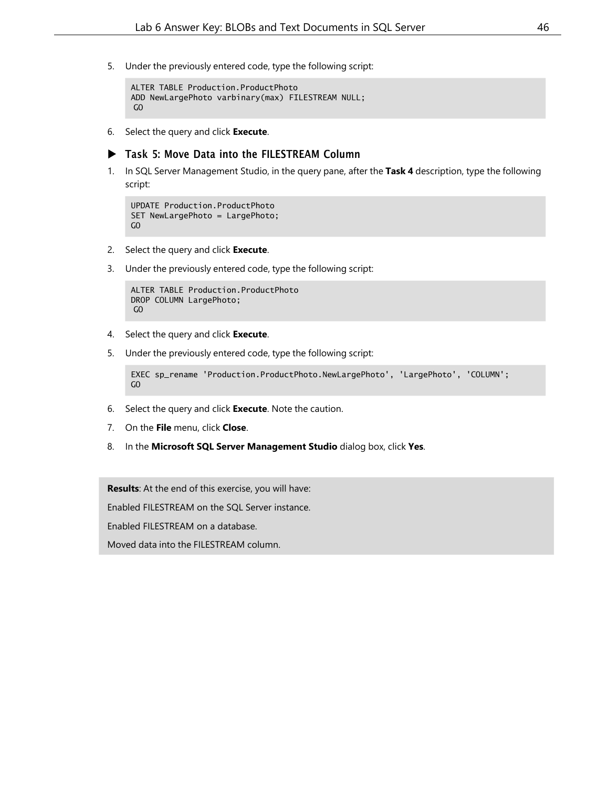5. Under the previously entered code, type the following script:

```
ALTER TABLE Production.ProductPhoto
ADD NewLargePhoto varbinary(max) FILESTREAM NULL;
GO
```
6. Select the query and click **Execute**.

#### $\blacktriangleright$  Task 5: Move Data into the FILESTREAM Column

1. In SQL Server Management Studio, in the query pane, after the **Task 4** description, type the following script:

```
UPDATE Production.ProductPhoto
SET NewLargePhoto = LargePhoto;
GO
```
- 2. Select the query and click **Execute**.
- 3. Under the previously entered code, type the following script:

```
ALTER TABLE Production.ProductPhoto
DROP COLUMN LargePhoto;
GO
```
- 4. Select the query and click **Execute**.
- 5. Under the previously entered code, type the following script:

```
EXEC sp_rename 'Production.ProductPhoto.NewLargePhoto', 'LargePhoto', 'COLUMN';
GO
```
- 6. Select the query and click **Execute**. Note the caution.
- 7. On the **File** menu, click **Close**.
- 8. In the **Microsoft SQL Server Management Studio** dialog box, click **Yes**.

**Results**: At the end of this exercise, you will have:

Enabled FILESTREAM on the SQL Server instance.

Enabled FILESTREAM on a database.

Moved data into the FILESTREAM column.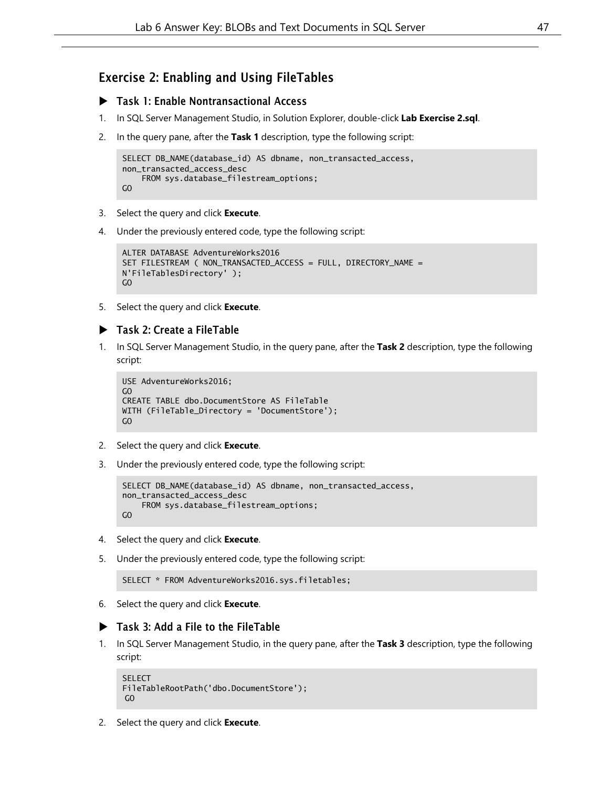## Exercise 2: Enabling and Using FileTables

### ▶ Task 1: Enable Nontransactional Access

- 1. In SQL Server Management Studio, in Solution Explorer, double-click **Lab Exercise 2.sql**.
- 2. In the query pane, after the **Task 1** description, type the following script:

```
SELECT DB_NAME(database_id) AS dbname, non_transacted_access,
non_transacted_access_desc
   FROM sys.database_filestream_options;
GO
```
- 3. Select the query and click **Execute**.
- 4. Under the previously entered code, type the following script:

```
ALTER DATABASE AdventureWorks2016
SET FILESTREAM ( NON_TRANSACTED_ACCESS = FULL, DIRECTORY_NAME =
N'FileTablesDirectory' );
GO
```
5. Select the query and click **Execute**.

#### ▶ Task 2: Create a FileTable

1. In SQL Server Management Studio, in the query pane, after the **Task 2** description, type the following script:

```
USE AdventureWorks2016;
GO
CREATE TABLE dbo.DocumentStore AS FileTable
WITH (FileTable_Directory = 'DocumentStore');
GO
```
- 2. Select the query and click **Execute**.
- 3. Under the previously entered code, type the following script:

```
SELECT DB_NAME(database_id) AS dbname, non_transacted_access,
non_transacted_access_desc
    FROM sys.database_filestream_options;
GO
```
- 4. Select the query and click **Execute**.
- 5. Under the previously entered code, type the following script:

```
SELECT * FROM AdventureWorks2016.sys.filetables;
```
6. Select the query and click **Execute**.

### ▶ Task 3: Add a File to the FileTable

1. In SQL Server Management Studio, in the query pane, after the **Task 3** description, type the following script:

```
SELECT
FileTableRootPath('dbo.DocumentStore');
GO
```
2. Select the query and click **Execute**.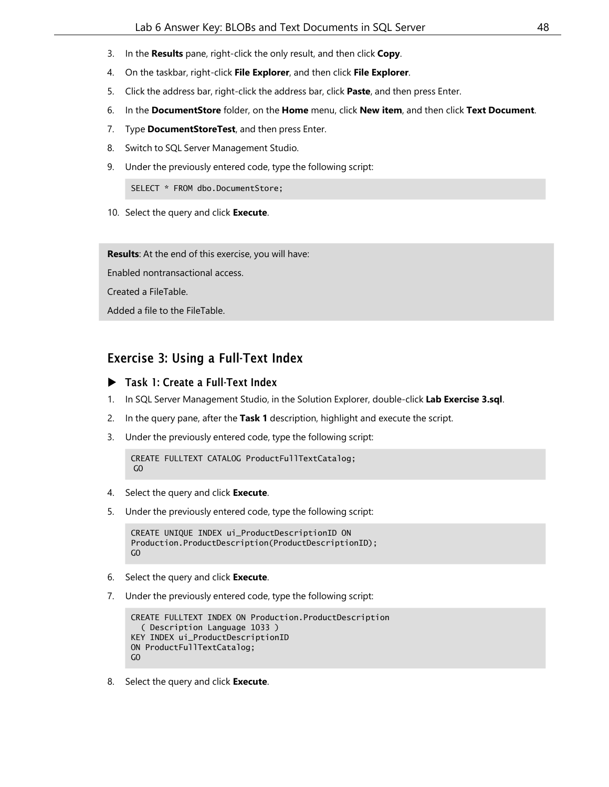- 3. In the **Results** pane, right-click the only result, and then click **Copy**.
- 4. On the taskbar, right-click **File Explorer**, and then click **File Explorer**.
- 5. Click the address bar, right-click the address bar, click **Paste**, and then press Enter.
- 6. In the **DocumentStore** folder, on the **Home** menu, click **New item**, and then click **Text Document**.
- 7. Type **DocumentStoreTest**, and then press Enter.
- 8. Switch to SQL Server Management Studio.
- 9. Under the previously entered code, type the following script:

SELECT \* FROM dbo.DocumentStore;

10. Select the query and click **Execute**.

**Results**: At the end of this exercise, you will have:

Enabled nontransactional access.

Created a FileTable.

Added a file to the FileTable.

## Exercise 3: Using a Full-Text Index

## Task 1: Create a Full-Text Index

- 1. In SQL Server Management Studio, in the Solution Explorer, double-click **Lab Exercise 3.sql**.
- 2. In the query pane, after the **Task 1** description, highlight and execute the script.
- 3. Under the previously entered code, type the following script:

```
CREATE FULLTEXT CATALOG ProductFullTextCatalog;
GO
```
- 4. Select the query and click **Execute**.
- 5. Under the previously entered code, type the following script:

```
CREATE UNIQUE INDEX ui_ProductDescriptionID ON
Production.ProductDescription(ProductDescriptionID);
GO
```
- 6. Select the query and click **Execute**.
- 7. Under the previously entered code, type the following script:

```
CREATE FULLTEXT INDEX ON Production.ProductDescription
  ( Description Language 1033 )
KEY INDEX ui_ProductDescriptionID
ON ProductFullTextCatalog;
GO
```
8. Select the query and click **Execute**.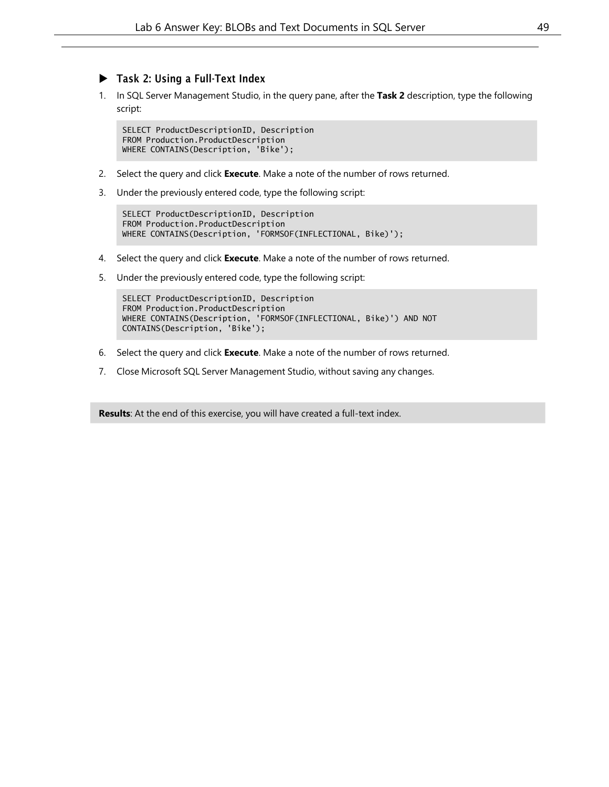### ▶ Task 2: Using a Full-Text Index

1. In SQL Server Management Studio, in the query pane, after the **Task 2** description, type the following script:

```
SELECT ProductDescriptionID, Description
FROM Production.ProductDescription
WHERE CONTAINS(Description, 'Bike');
```
- 2. Select the query and click **Execute**. Make a note of the number of rows returned.
- 3. Under the previously entered code, type the following script:

```
SELECT ProductDescriptionID, Description
FROM Production.ProductDescription
WHERE CONTAINS(Description, 'FORMSOF(INFLECTIONAL, Bike)');
```
- 4. Select the query and click **Execute**. Make a note of the number of rows returned.
- 5. Under the previously entered code, type the following script:

```
SELECT ProductDescriptionID, Description
FROM Production.ProductDescription
WHERE CONTAINS(Description, 'FORMSOF(INFLECTIONAL, Bike)') AND NOT
CONTAINS(Description, 'Bike');
```
- 6. Select the query and click **Execute**. Make a note of the number of rows returned.
- 7. Close Microsoft SQL Server Management Studio, without saving any changes.

**Results**: At the end of this exercise, you will have created a full-text index.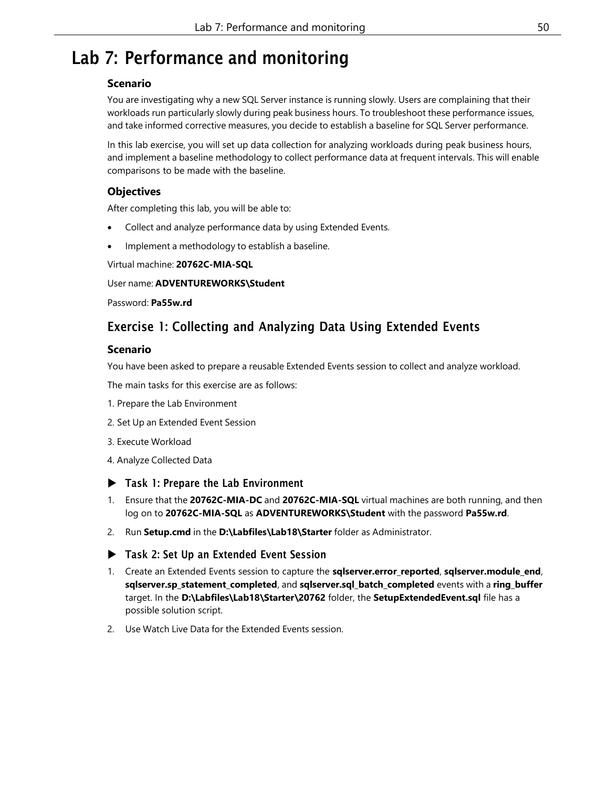## <span id="page-49-0"></span>Lab 7: Performance and monitoring

## **Scenario**

You are investigating why a new SQL Server instance is running slowly. Users are complaining that their workloads run particularly slowly during peak business hours. To troubleshoot these performance issues, and take informed corrective measures, you decide to establish a baseline for SQL Server performance.

In this lab exercise, you will set up data collection for analyzing workloads during peak business hours, and implement a baseline methodology to collect performance data at frequent intervals. This will enable comparisons to be made with the baseline.

## **Objectives**

After completing this lab, you will be able to:

- Collect and analyze performance data by using Extended Events.
- Implement a methodology to establish a baseline.

### Virtual machine: **20762C-MIA-SQL**

User name: **ADVENTUREWORKS\Student**

Password: **Pa55w.rd**

## Exercise 1: Collecting and Analyzing Data Using Extended Events

## **Scenario**

You have been asked to prepare a reusable Extended Events session to collect and analyze workload.

The main tasks for this exercise are as follows:

- 1. Prepare the Lab Environment
- 2. Set Up an Extended Event Session
- 3. Execute Workload
- 4. Analyze Collected Data

## ▶ Task 1: Prepare the Lab Environment

- 1. Ensure that the **20762C-MIA-DC** and **20762C-MIA-SQL** virtual machines are both running, and then log on to **20762C-MIA-SQL** as **ADVENTUREWORKS\Student** with the password **Pa55w.rd**.
- 2. Run **Setup.cmd** in the **D:\Labfiles\Lab18\Starter** folder as Administrator.
- Task 2: Set Up an Extended Event Session
- 1. Create an Extended Events session to capture the **sqlserver.error\_reported**, **sqlserver.module\_end**, **sqlserver.sp\_statement\_completed**, and **sqlserver.sql\_batch\_completed** events with a **ring\_buffer** target. In the **D:\Labfiles\Lab18\Starter\20762** folder, the **SetupExtendedEvent.sql** file has a possible solution script.
- 2. Use Watch Live Data for the Extended Events session.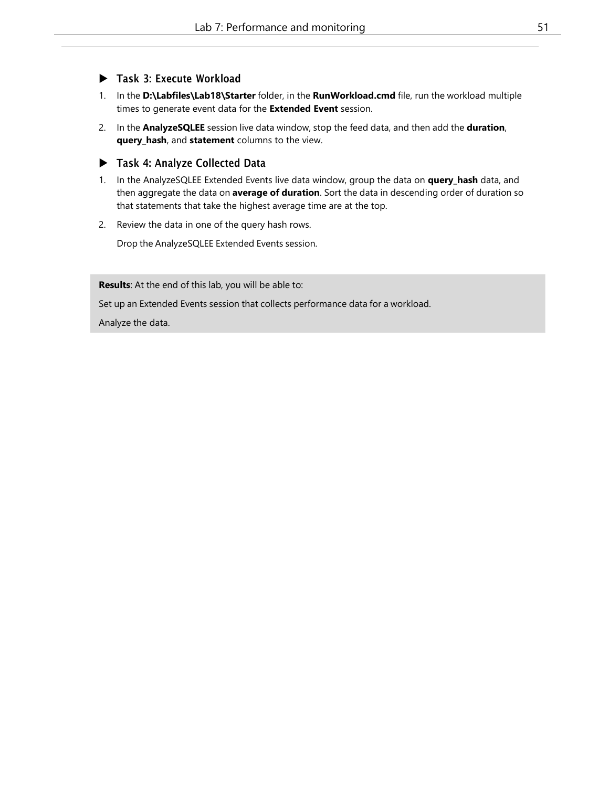## Task 3: Execute Workload

- 1. In the **D:\Labfiles\Lab18\Starter** folder, in the **RunWorkload.cmd** file, run the workload multiple times to generate event data for the **Extended Event** session.
- 2. In the **AnalyzeSQLEE** session live data window, stop the feed data, and then add the **duration**, **query\_hash**, and **statement** columns to the view.

## ▶ Task 4: Analyze Collected Data

- 1. In the AnalyzeSQLEE Extended Events live data window, group the data on **query\_hash** data, and then aggregate the data on **average of duration**. Sort the data in descending order of duration so that statements that take the highest average time are at the top.
- 2. Review the data in one of the query hash rows.

Drop the AnalyzeSQLEE Extended Events session.

**Results**: At the end of this lab, you will be able to:

Set up an Extended Events session that collects performance data for a workload.

Analyze the data.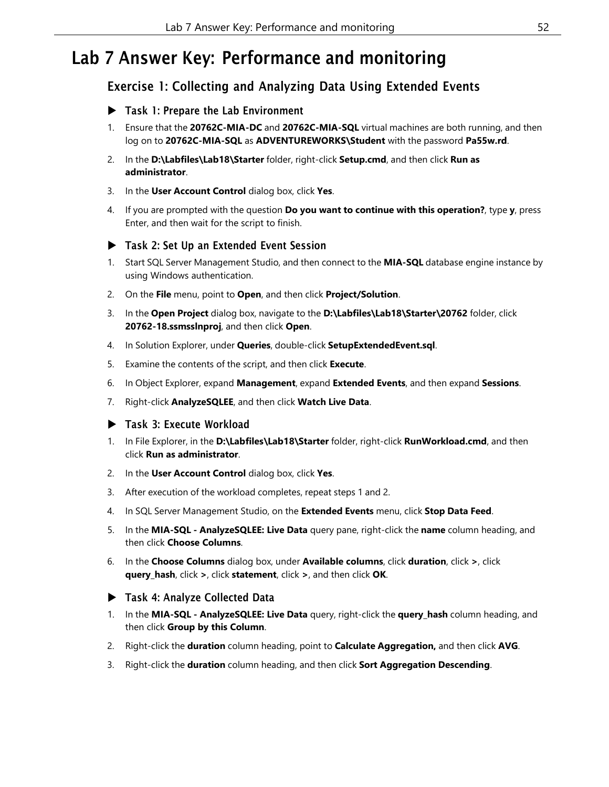## <span id="page-51-0"></span>Lab 7 Answer Key: Performance and monitoring

## Exercise 1: Collecting and Analyzing Data Using Extended Events

- Task 1: Prepare the Lab Environment
- 1. Ensure that the **20762C-MIA-DC** and **20762C-MIA-SQL** virtual machines are both running, and then log on to **20762C-MIA-SQL** as **ADVENTUREWORKS\Student** with the password **Pa55w.rd**.
- 2. In the **D:\Labfiles\Lab18\Starter** folder, right-click **Setup.cmd**, and then click **Run as administrator**.
- 3. In the **User Account Control** dialog box, click **Yes**.
- 4. If you are prompted with the question **Do you want to continue with this operation?**, type **y**, press Enter, and then wait for the script to finish.

## ▶ Task 2: Set Up an Extended Event Session

- 1. Start SQL Server Management Studio, and then connect to the **MIA-SQL** database engine instance by using Windows authentication.
- 2. On the **File** menu, point to **Open**, and then click **Project/Solution**.
- 3. In the **Open Project** dialog box, navigate to the **D:\Labfiles\Lab18\Starter\20762** folder, click **20762-18.ssmsslnproj**, and then click **Open**.
- 4. In Solution Explorer, under **Queries**, double-click **SetupExtendedEvent.sql**.
- 5. Examine the contents of the script, and then click **Execute**.
- 6. In Object Explorer, expand **Management**, expand **Extended Events**, and then expand **Sessions**.
- 7. Right-click **AnalyzeSQLEE**, and then click **Watch Live Data**.
- ▶ Task 3: Execute Workload
- 1. In File Explorer, in the **D:\Labfiles\Lab18\Starter** folder, right-click **RunWorkload.cmd**, and then click **Run as administrator**.
- 2. In the **User Account Control** dialog box, click **Yes**.
- 3. After execution of the workload completes, repeat steps 1 and 2.
- 4. In SQL Server Management Studio, on the **Extended Events** menu, click **Stop Data Feed**.
- 5. In the **MIA-SQL - AnalyzeSQLEE: Live Data** query pane, right-click the **name** column heading, and then click **Choose Columns**.
- 6. In the **Choose Columns** dialog box, under **Available columns**, click **duration**, click **>**, click **query\_hash**, click **>**, click **statement**, click **>**, and then click **OK**.

## ▶ Task 4: Analyze Collected Data

- 1. In the **MIA-SQL - AnalyzeSQLEE: Live Data** query, right-click the **query\_hash** column heading, and then click **Group by this Column**.
- 2. Right-click the **duration** column heading, point to **Calculate Aggregation,** and then click **AVG**.
- 3. Right-click the **duration** column heading, and then click **Sort Aggregation Descending**.